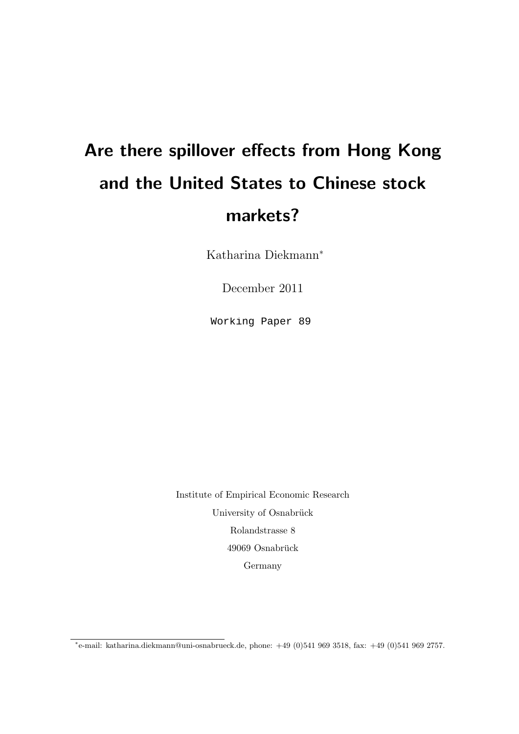# Are there spillover effects from Hong Kong and the United States to Chinese stock markets?

Katharina Diekmann<sup>∗</sup>

December 2011

Working Paper 89

Institute of Empirical Economic Research University of Osnabrück Rolandstrasse 8 49069 Osnabrück Germany

<sup>∗</sup> e-mail: katharina.diekmann@uni-osnabrueck.de, phone: +49 (0)541 969 3518, fax: +49 (0)541 969 2757.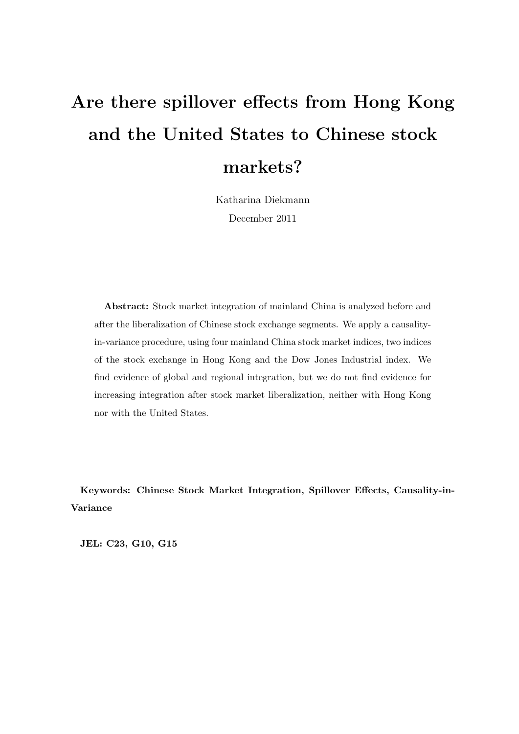# Are there spillover effects from Hong Kong and the United States to Chinese stock markets?

Katharina Diekmann December 2011

Abstract: Stock market integration of mainland China is analyzed before and after the liberalization of Chinese stock exchange segments. We apply a causalityin-variance procedure, using four mainland China stock market indices, two indices of the stock exchange in Hong Kong and the Dow Jones Industrial index. We find evidence of global and regional integration, but we do not find evidence for increasing integration after stock market liberalization, neither with Hong Kong nor with the United States.

Keywords: Chinese Stock Market Integration, Spillover Effects, Causality-in-Variance

JEL: C23, G10, G15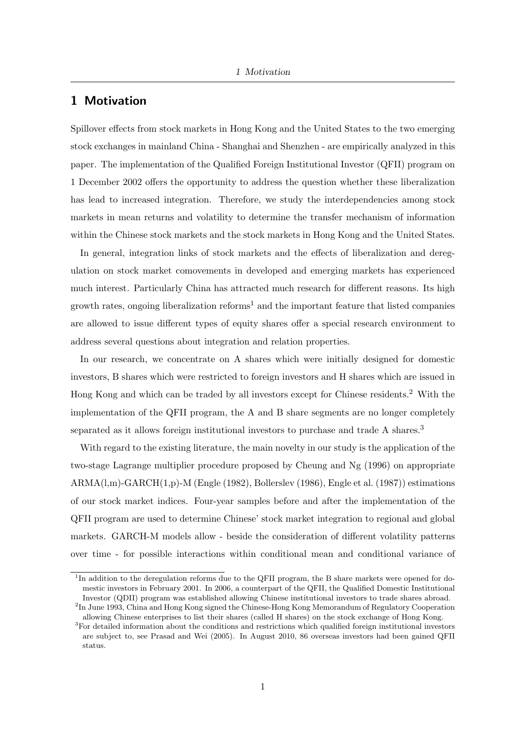#### 1 Motivation

Spillover effects from stock markets in Hong Kong and the United States to the two emerging stock exchanges in mainland China - Shanghai and Shenzhen - are empirically analyzed in this paper. The implementation of the Qualified Foreign Institutional Investor (QFII) program on 1 December 2002 offers the opportunity to address the question whether these liberalization has lead to increased integration. Therefore, we study the interdependencies among stock markets in mean returns and volatility to determine the transfer mechanism of information within the Chinese stock markets and the stock markets in Hong Kong and the United States.

In general, integration links of stock markets and the effects of liberalization and deregulation on stock market comovements in developed and emerging markets has experienced much interest. Particularly China has attracted much research for different reasons. Its high growth rates, ongoing liberalization reforms<sup>1</sup> and the important feature that listed companies are allowed to issue different types of equity shares offer a special research environment to address several questions about integration and relation properties.

In our research, we concentrate on A shares which were initially designed for domestic investors, B shares which were restricted to foreign investors and H shares which are issued in Hong Kong and which can be traded by all investors except for Chinese residents.<sup>2</sup> With the implementation of the QFII program, the A and B share segments are no longer completely separated as it allows foreign institutional investors to purchase and trade A shares.<sup>3</sup>

With regard to the existing literature, the main novelty in our study is the application of the two-stage Lagrange multiplier procedure proposed by Cheung and Ng (1996) on appropriate ARMA(l,m)-GARCH(1,p)-M (Engle (1982), Bollerslev (1986), Engle et al. (1987)) estimations of our stock market indices. Four-year samples before and after the implementation of the QFII program are used to determine Chinese' stock market integration to regional and global markets. GARCH-M models allow - beside the consideration of different volatility patterns over time - for possible interactions within conditional mean and conditional variance of

<sup>&</sup>lt;sup>1</sup>In addition to the deregulation reforms due to the QFII program, the B share markets were opened for domestic investors in February 2001. In 2006, a counterpart of the QFII, the Qualified Domestic Institutional Investor (QDII) program was established allowing Chinese institutional investors to trade shares abroad.

<sup>&</sup>lt;sup>2</sup>In June 1993, China and Hong Kong signed the Chinese-Hong Kong Memorandum of Regulatory Cooperation allowing Chinese enterprises to list their shares (called H shares) on the stock exchange of Hong Kong.

<sup>3</sup>For detailed information about the conditions and restrictions which qualified foreign institutional investors are subject to, see Prasad and Wei (2005). In August 2010, 86 overseas investors had been gained QFII status.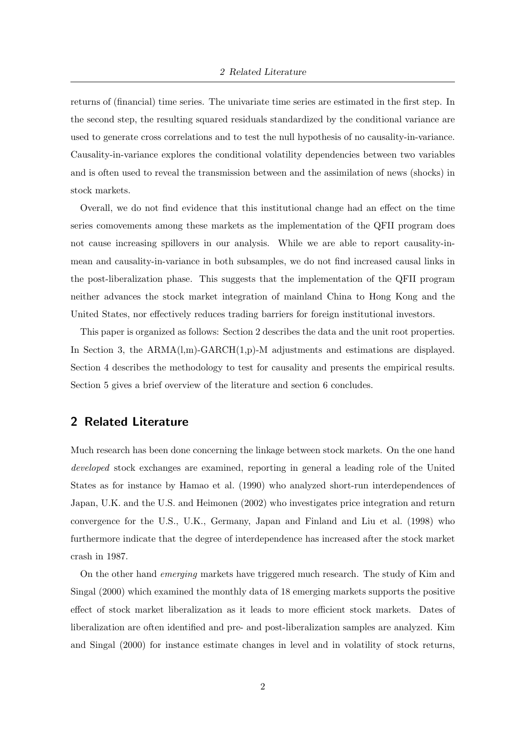returns of (financial) time series. The univariate time series are estimated in the first step. In the second step, the resulting squared residuals standardized by the conditional variance are used to generate cross correlations and to test the null hypothesis of no causality-in-variance. Causality-in-variance explores the conditional volatility dependencies between two variables and is often used to reveal the transmission between and the assimilation of news (shocks) in stock markets.

Overall, we do not find evidence that this institutional change had an effect on the time series comovements among these markets as the implementation of the QFII program does not cause increasing spillovers in our analysis. While we are able to report causality-inmean and causality-in-variance in both subsamples, we do not find increased causal links in the post-liberalization phase. This suggests that the implementation of the QFII program neither advances the stock market integration of mainland China to Hong Kong and the United States, nor effectively reduces trading barriers for foreign institutional investors.

This paper is organized as follows: Section 2 describes the data and the unit root properties. In Section 3, the ARMA(l,m)-GARCH(1,p)-M adjustments and estimations are displayed. Section 4 describes the methodology to test for causality and presents the empirical results. Section 5 gives a brief overview of the literature and section 6 concludes.

#### 2 Related Literature

Much research has been done concerning the linkage between stock markets. On the one hand developed stock exchanges are examined, reporting in general a leading role of the United States as for instance by Hamao et al. (1990) who analyzed short-run interdependences of Japan, U.K. and the U.S. and Heimonen (2002) who investigates price integration and return convergence for the U.S., U.K., Germany, Japan and Finland and Liu et al. (1998) who furthermore indicate that the degree of interdependence has increased after the stock market crash in 1987.

On the other hand emerging markets have triggered much research. The study of Kim and Singal (2000) which examined the monthly data of 18 emerging markets supports the positive effect of stock market liberalization as it leads to more efficient stock markets. Dates of liberalization are often identified and pre- and post-liberalization samples are analyzed. Kim and Singal (2000) for instance estimate changes in level and in volatility of stock returns,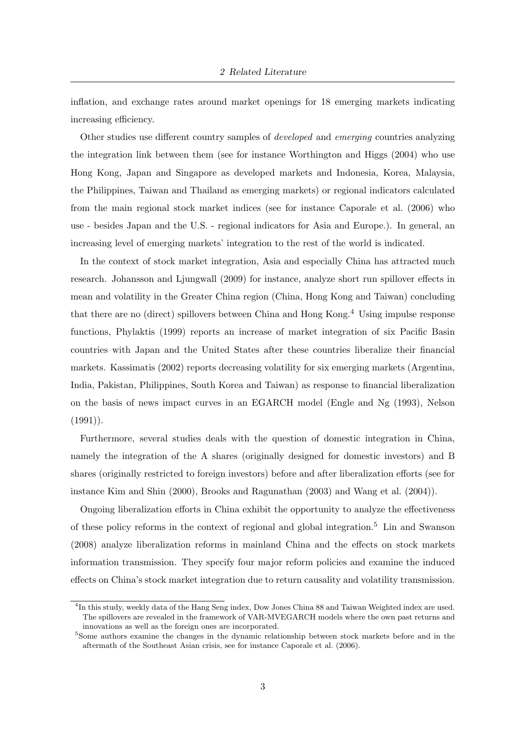inflation, and exchange rates around market openings for 18 emerging markets indicating increasing efficiency.

Other studies use different country samples of developed and emerging countries analyzing the integration link between them (see for instance Worthington and Higgs (2004) who use Hong Kong, Japan and Singapore as developed markets and Indonesia, Korea, Malaysia, the Philippines, Taiwan and Thailand as emerging markets) or regional indicators calculated from the main regional stock market indices (see for instance Caporale et al. (2006) who use - besides Japan and the U.S. - regional indicators for Asia and Europe.). In general, an increasing level of emerging markets' integration to the rest of the world is indicated.

In the context of stock market integration, Asia and especially China has attracted much research. Johansson and Ljungwall (2009) for instance, analyze short run spillover effects in mean and volatility in the Greater China region (China, Hong Kong and Taiwan) concluding that there are no (direct) spillovers between China and Hong Kong.<sup>4</sup> Using impulse response functions, Phylaktis (1999) reports an increase of market integration of six Pacific Basin countries with Japan and the United States after these countries liberalize their financial markets. Kassimatis (2002) reports decreasing volatility for six emerging markets (Argentina, India, Pakistan, Philippines, South Korea and Taiwan) as response to financial liberalization on the basis of news impact curves in an EGARCH model (Engle and Ng (1993), Nelson  $(1991)$ .

Furthermore, several studies deals with the question of domestic integration in China, namely the integration of the A shares (originally designed for domestic investors) and B shares (originally restricted to foreign investors) before and after liberalization efforts (see for instance Kim and Shin (2000), Brooks and Ragunathan (2003) and Wang et al. (2004)).

Ongoing liberalization efforts in China exhibit the opportunity to analyze the effectiveness of these policy reforms in the context of regional and global integration.<sup>5</sup> Lin and Swanson (2008) analyze liberalization reforms in mainland China and the effects on stock markets information transmission. They specify four major reform policies and examine the induced effects on China's stock market integration due to return causality and volatility transmission.

<sup>&</sup>lt;sup>4</sup>In this study, weekly data of the Hang Seng index, Dow Jones China 88 and Taiwan Weighted index are used. The spillovers are revealed in the framework of VAR-MVEGARCH models where the own past returns and innovations as well as the foreign ones are incorporated.

<sup>5</sup>Some authors examine the changes in the dynamic relationship between stock markets before and in the aftermath of the Southeast Asian crisis, see for instance Caporale et al. (2006).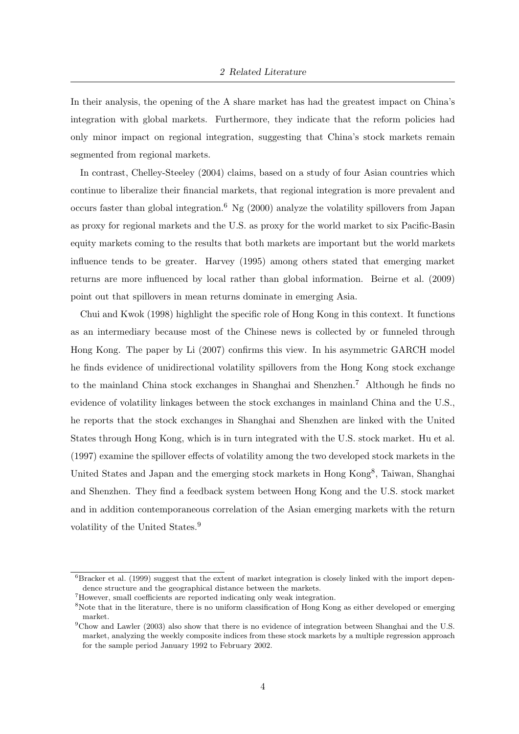In their analysis, the opening of the A share market has had the greatest impact on China's integration with global markets. Furthermore, they indicate that the reform policies had only minor impact on regional integration, suggesting that China's stock markets remain segmented from regional markets.

In contrast, Chelley-Steeley (2004) claims, based on a study of four Asian countries which continue to liberalize their financial markets, that regional integration is more prevalent and occurs faster than global integration.<sup>6</sup> Ng (2000) analyze the volatility spillovers from Japan as proxy for regional markets and the U.S. as proxy for the world market to six Pacific-Basin equity markets coming to the results that both markets are important but the world markets influence tends to be greater. Harvey (1995) among others stated that emerging market returns are more influenced by local rather than global information. Beirne et al. (2009) point out that spillovers in mean returns dominate in emerging Asia.

Chui and Kwok (1998) highlight the specific role of Hong Kong in this context. It functions as an intermediary because most of the Chinese news is collected by or funneled through Hong Kong. The paper by Li (2007) confirms this view. In his asymmetric GARCH model he finds evidence of unidirectional volatility spillovers from the Hong Kong stock exchange to the mainland China stock exchanges in Shanghai and Shenzhen.<sup>7</sup> Although he finds no evidence of volatility linkages between the stock exchanges in mainland China and the U.S., he reports that the stock exchanges in Shanghai and Shenzhen are linked with the United States through Hong Kong, which is in turn integrated with the U.S. stock market. Hu et al. (1997) examine the spillover effects of volatility among the two developed stock markets in the United States and Japan and the emerging stock markets in Hong Kong<sup>8</sup>, Taiwan, Shanghai and Shenzhen. They find a feedback system between Hong Kong and the U.S. stock market and in addition contemporaneous correlation of the Asian emerging markets with the return volatility of the United States.<sup>9</sup>

 ${}^{6}$ Bracker et al. (1999) suggest that the extent of market integration is closely linked with the import dependence structure and the geographical distance between the markets.

<sup>7</sup>However, small coefficients are reported indicating only weak integration.

<sup>&</sup>lt;sup>8</sup>Note that in the literature, there is no uniform classification of Hong Kong as either developed or emerging market.

<sup>9</sup>Chow and Lawler (2003) also show that there is no evidence of integration between Shanghai and the U.S. market, analyzing the weekly composite indices from these stock markets by a multiple regression approach for the sample period January 1992 to February 2002.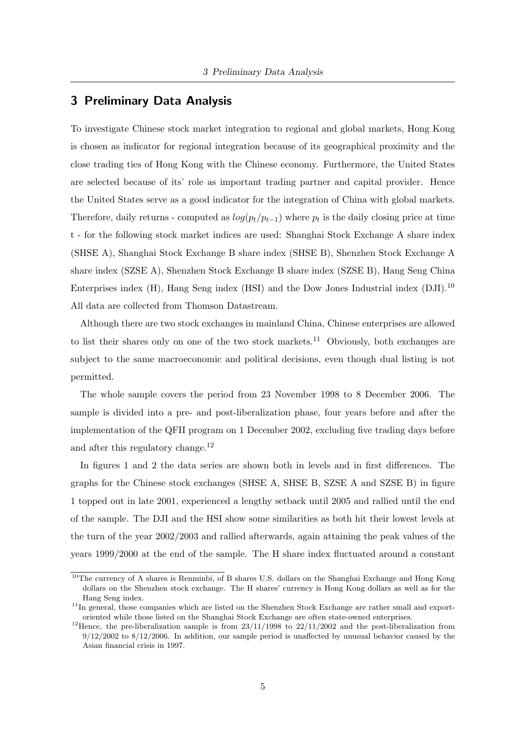#### 3 Preliminary Data Analysis

To investigate Chinese stock market integration to regional and global markets, Hong Kong is chosen as indicator for regional integration because of its geographical proximity and the close trading ties of Hong Kong with the Chinese economy. Furthermore, the United States are selected because of its' role as important trading partner and capital provider. Hence the United States serve as a good indicator for the integration of China with global markets. Therefore, daily returns - computed as  $log(p_t/p_{t-1})$  where  $p_t$  is the daily closing price at time t - for the following stock market indices are used: Shanghai Stock Exchange A share index (SHSE A), Shanghai Stock Exchange B share index (SHSE B), Shenzhen Stock Exchange A share index (SZSE A), Shenzhen Stock Exchange B share index (SZSE B), Hang Seng China Enterprises index  $(H)$ , Hang Seng index (HSI) and the Dow Jones Industrial index  $(DJI)$ .<sup>10</sup> All data are collected from Thomson Datastream.

Although there are two stock exchanges in mainland China, Chinese enterprises are allowed to list their shares only on one of the two stock markets.<sup>11</sup> Obviously, both exchanges are subject to the same macroeconomic and political decisions, even though dual listing is not permitted.

The whole sample covers the period from 23 November 1998 to 8 December 2006. The sample is divided into a pre- and post-liberalization phase, four years before and after the implementation of the QFII program on 1 December 2002, excluding five trading days before and after this regulatory change.<sup>12</sup>

In figures 1 and 2 the data series are shown both in levels and in first differences. The graphs for the Chinese stock exchanges (SHSE A, SHSE B, SZSE A and SZSE B) in figure 1 topped out in late 2001, experienced a lengthy setback until 2005 and rallied until the end of the sample. The DJI and the HSI show some similarities as both hit their lowest levels at the turn of the year 2002/2003 and rallied afterwards, again attaining the peak values of the years 1999/2000 at the end of the sample. The H share index fluctuated around a constant

<sup>10</sup>The currency of A shares is Renminbi, of B shares U.S. dollars on the Shanghai Exchange and Hong Kong dollars on the Shenzhen stock exchange. The H shares' currency is Hong Kong dollars as well as for the Hang Seng index.

 $11$ In general, those companies which are listed on the Shenzhen Stock Exchange are rather small and exportoriented while those listed on the Shanghai Stock Exchange are often state-owned enterprises.

<sup>&</sup>lt;sup>12</sup>Hence, the pre-liberalization sample is from  $23/11/1998$  to  $22/11/2002$  and the post-liberalization from  $9/12/2002$  to  $8/12/2006$ . In addition, our sample period is unaffected by unusual behavior caused by the Asian financial crisis in 1997.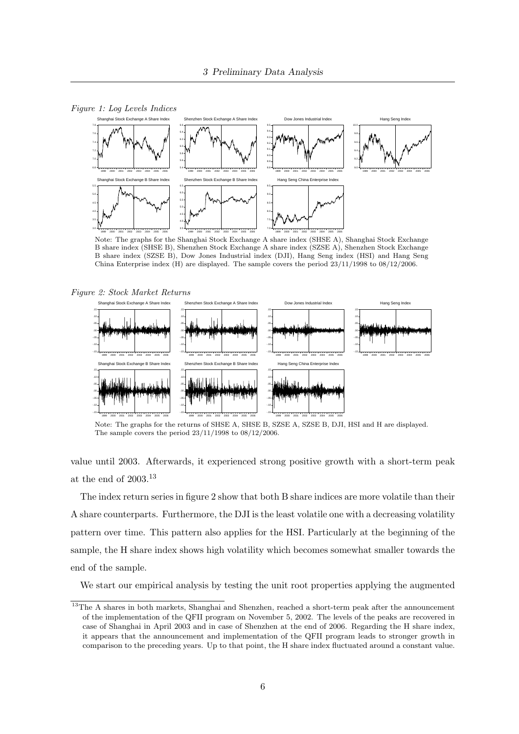

Figure 1: Log Levels Indices

Note: The graphs for the Shanghai Stock Exchange A share index (SHSE A), Shanghai Stock Exchange B share index (SHSE B), Shenzhen Stock Exchange A share index (SZSE A), Shenzhen Stock Exchange B share index (SZSE B), Dow Jones Industrial index (DJI), Hang Seng index (HSI) and Hang Seng China Enterprise index (H) are displayed. The sample covers the period 23/11/1998 to 08/12/2006.



Note: The graphs for the returns of SHSE A, SHSE B, SZSE A, SZSE B, DJI, HSI and H are displayed. The sample covers the period 23/11/1998 to 08/12/2006.

value until 2003. Afterwards, it experienced strong positive growth with a short-term peak at the end of  $2003.^{\rm 13}$ 

The index return series in figure 2 show that both B share indices are more volatile than their A share counterparts. Furthermore, the DJI is the least volatile one with a decreasing volatility pattern over time. This pattern also applies for the HSI. Particularly at the beginning of the sample, the H share index shows high volatility which becomes somewhat smaller towards the end of the sample.

We start our empirical analysis by testing the unit root properties applying the augmented

<sup>&</sup>lt;sup>13</sup>The A shares in both markets, Shanghai and Shenzhen, reached a short-term peak after the announcement of the implementation of the QFII program on November 5, 2002. The levels of the peaks are recovered in case of Shanghai in April 2003 and in case of Shenzhen at the end of 2006. Regarding the H share index, it appears that the announcement and implementation of the QFII program leads to stronger growth in comparison to the preceding years. Up to that point, the H share index fluctuated around a constant value.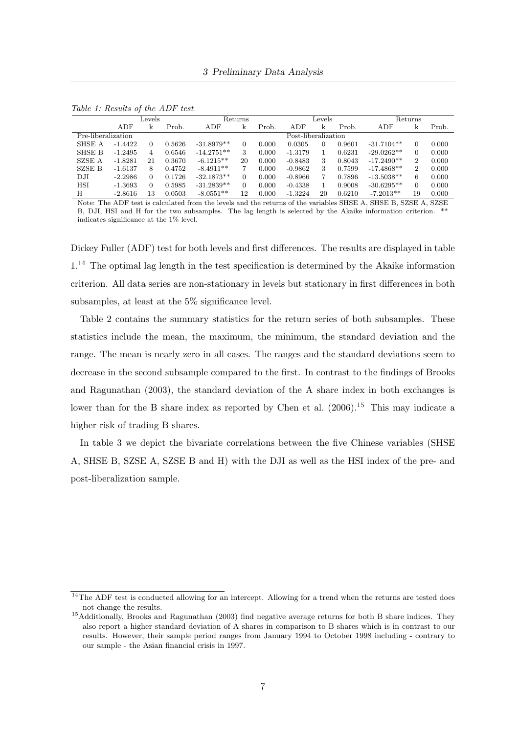|                    |           | Levels   |        |              | Returns  |       |                     | Levels |        | Returns      |                |       |
|--------------------|-----------|----------|--------|--------------|----------|-------|---------------------|--------|--------|--------------|----------------|-------|
|                    | ADF       | k        | Prob.  | ${\rm ADF}$  | k        | Prob. | ADF                 | k      | Prob.  | ${\rm ADF}$  | k              | Prob. |
| Pre-liberalization |           |          |        |              |          |       | Post-liberalization |        |        |              |                |       |
| SHSE A             | $-1.4422$ | 0        | 0.5626 | $-31.8979**$ |          | 0.000 | 0.0305              | 0      | 0.9601 | $-31.7104**$ | $\Omega$       | 0.000 |
| SHSE B             | $-1.2495$ | 4        | 0.6546 | $-14.2751**$ | 3        | 0.000 | $-1.3179$           |        | 0.6231 | $-29.0262**$ | $\Omega$       | 0.000 |
| <b>SZSE A</b>      | $-1.8281$ | 21       | 0.3670 | $-6.1215**$  | 20       | 0.000 | $-0.8483$           | 3      | 0.8043 | $-17.2490**$ | $\overline{2}$ | 0.000 |
| SZSE B             | $-1.6137$ | 8        | 0.4752 | $-8.4911**$  |          | 0.000 | $-0.9862$           |        | 0.7599 | $-17.4868**$ | $\overline{2}$ | 0.000 |
| DJI                | $-2.2986$ | $\Omega$ | 0.1726 | $-32.1873**$ | $\Omega$ | 0.000 | $-0.8966$           |        | 0.7896 | $-13.5038**$ | 6              | 0.000 |
| <b>HSI</b>         | $-1.3693$ | $\Omega$ | 0.5985 | $-31.2839**$ | $\Omega$ | 0.000 | $-0.4338$           |        | 0.9008 | $-30.6295**$ | $\Omega$       | 0.000 |
| H                  | $-2.8616$ | 13       | 0.0503 | $-8.0551**$  | 12       | 0.000 | $-1.3224$           | 20     | 0.6210 | $-7.2013**$  | 19             | 0.000 |

Table 1: Results of the ADF test

Note: The ADF test is calculated from the levels and the returns of the variables SHSE A, SHSE B, SZSE A, SZSE B, DJI, HSI and H for the two subsamples. The lag length is selected by the Akaike information criterion. \*\* indicates significance at the 1% level.

Dickey Fuller (ADF) test for both levels and first differences. The results are displayed in table  $1<sup>14</sup>$  The optimal lag length in the test specification is determined by the Akaike information criterion. All data series are non-stationary in levels but stationary in first differences in both subsamples, at least at the 5% significance level.

Table 2 contains the summary statistics for the return series of both subsamples. These statistics include the mean, the maximum, the minimum, the standard deviation and the range. The mean is nearly zero in all cases. The ranges and the standard deviations seem to decrease in the second subsample compared to the first. In contrast to the findings of Brooks and Ragunathan (2003), the standard deviation of the A share index in both exchanges is lower than for the B share index as reported by Chen et al.  $(2006)$ .<sup>15</sup> This may indicate a higher risk of trading B shares.

In table 3 we depict the bivariate correlations between the five Chinese variables (SHSE A, SHSE B, SZSE A, SZSE B and H) with the DJI as well as the HSI index of the pre- and post-liberalization sample.

<sup>&</sup>lt;sup>14</sup>The ADF test is conducted allowing for an intercept. Allowing for a trend when the returns are tested does not change the results.

<sup>&</sup>lt;sup>15</sup>Additionally, Brooks and Ragunathan (2003) find negative average returns for both B share indices. They also report a higher standard deviation of A shares in comparison to B shares which is in contrast to our results. However, their sample period ranges from January 1994 to October 1998 including - contrary to our sample - the Asian financial crisis in 1997.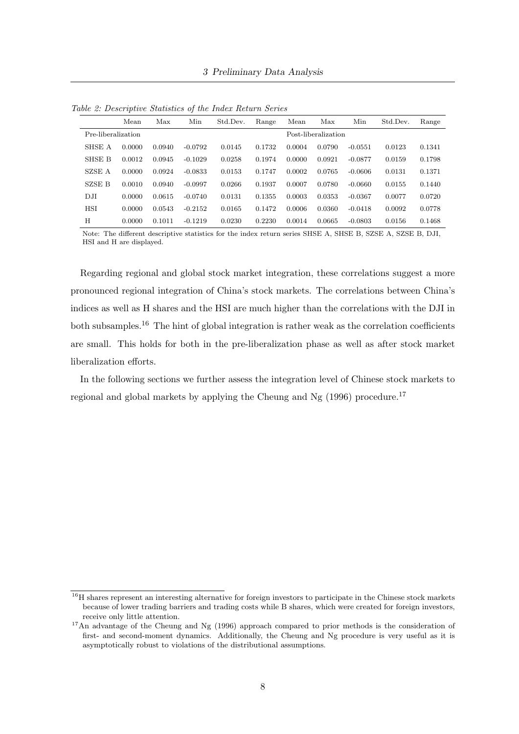|                    | Mean   | Max    | Min       | Std.Dev. | Range  | Mean   | Max                 | Min       | Std.Dev. | Range  |
|--------------------|--------|--------|-----------|----------|--------|--------|---------------------|-----------|----------|--------|
| Pre-liberalization |        |        |           |          |        |        | Post-liberalization |           |          |        |
| SHSE A             | 0.0000 | 0.0940 | $-0.0792$ | 0.0145   | 0.1732 | 0.0004 | 0.0790              | $-0.0551$ | 0.0123   | 0.1341 |
| SHSE B             | 0.0012 | 0.0945 | $-0.1029$ | 0.0258   | 0.1974 | 0.0000 | 0.0921              | $-0.0877$ | 0.0159   | 0.1798 |
| SZSE A             | 0.0000 | 0.0924 | $-0.0833$ | 0.0153   | 0.1747 | 0.0002 | 0.0765              | $-0.0606$ | 0.0131   | 0.1371 |
| SZSE B             | 0.0010 | 0.0940 | $-0.0997$ | 0.0266   | 0.1937 | 0.0007 | 0.0780              | $-0.0660$ | 0.0155   | 0.1440 |
| DJI                | 0.0000 | 0.0615 | $-0.0740$ | 0.0131   | 0.1355 | 0.0003 | 0.0353              | $-0.0367$ | 0.0077   | 0.0720 |
| <b>HSI</b>         | 0.0000 | 0.0543 | $-0.2152$ | 0.0165   | 0.1472 | 0.0006 | 0.0360              | $-0.0418$ | 0.0092   | 0.0778 |
| H                  | 0.0000 | 0.1011 | $-0.1219$ | 0.0230   | 0.2230 | 0.0014 | 0.0665              | $-0.0803$ | 0.0156   | 0.1468 |

Table 2: Descriptive Statistics of the Index Return Series

Note: The different descriptive statistics for the index return series SHSE A, SHSE B, SZSE A, SZSE B, DJI, HSI and H are displayed.

Regarding regional and global stock market integration, these correlations suggest a more pronounced regional integration of China's stock markets. The correlations between China's indices as well as H shares and the HSI are much higher than the correlations with the DJI in both subsamples.<sup>16</sup> The hint of global integration is rather weak as the correlation coefficients are small. This holds for both in the pre-liberalization phase as well as after stock market liberalization efforts.

In the following sections we further assess the integration level of Chinese stock markets to regional and global markets by applying the Cheung and Ng  $(1996)$  procedure.<sup>17</sup>

 $\frac{16}{16}$ H shares represent an interesting alternative for foreign investors to participate in the Chinese stock markets because of lower trading barriers and trading costs while B shares, which were created for foreign investors, receive only little attention.

<sup>&</sup>lt;sup>17</sup>An advantage of the Cheung and Ng (1996) approach compared to prior methods is the consideration of first- and second-moment dynamics. Additionally, the Cheung and Ng procedure is very useful as it is asymptotically robust to violations of the distributional assumptions.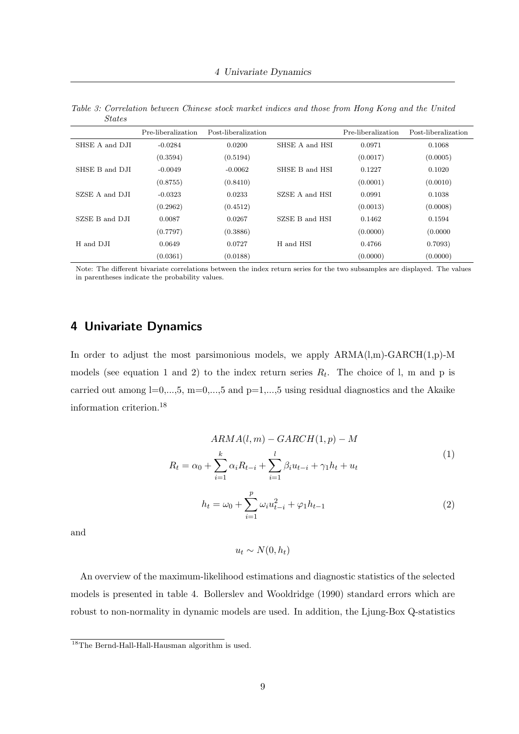|                | Pre-liberalization | Post-liberalization |                | Pre-liberalization | Post-liberalization |
|----------------|--------------------|---------------------|----------------|--------------------|---------------------|
| SHSE A and DJI | $-0.0284$          | 0.0200              | SHSE A and HSI | 0.0971             | 0.1068              |
|                | (0.3594)           | (0.5194)            |                | (0.0017)           | (0.0005)            |
| SHSE B and DJI | $-0.0049$          | $-0.0062$           | SHSE B and HSI | 0.1227             | 0.1020              |
|                | (0.8755)           | (0.8410)            |                | (0.0001)           | (0.0010)            |
| SZSE A and DJI | $-0.0323$          | 0.0233              | SZSE A and HSI | 0.0991             | 0.1038              |
|                | (0.2962)           | (0.4512)            |                | (0.0013)           | (0.0008)            |
| SZSE B and DJI | 0.0087             | 0.0267              | SZSE B and HSI | 0.1462             | 0.1594              |
|                | (0.7797)           | (0.3886)            |                | (0.0000)           | (0.0000)            |
| H and DJI      | 0.0649             | 0.0727              | H and HSI      | 0.4766             | 0.7093)             |
|                | (0.0361)           | (0.0188)            |                | (0.0000)           | (0.0000)            |

Table 3: Correlation between Chinese stock market indices and those from Hong Kong and the United States

Note: The different bivariate correlations between the index return series for the two subsamples are displayed. The values in parentheses indicate the probability values.

## 4 Univariate Dynamics

In order to adjust the most parsimonious models, we apply  $ARMA(l,m)-GARCH(1,p)-M$ models (see equation 1 and 2) to the index return series  $R_t$ . The choice of 1, m and p is carried out among  $l=0,\ldots,5$ ,  $m=0,\ldots,5$  and  $p=1,\ldots,5$  using residual diagnostics and the Akaike information criterion.<sup>18</sup>

$$
ARMA(l,m) - GARCH(1,p) - M
$$
  
\n
$$
R_{t} = \alpha_{0} + \sum_{i=1}^{k} \alpha_{i} R_{t-i} + \sum_{i=1}^{l} \beta_{i} u_{t-i} + \gamma_{1} h_{t} + u_{t}
$$
  
\n
$$
h_{t} = \omega_{0} + \sum_{i=1}^{p} \omega_{i} u_{t-i}^{2} + \varphi_{1} h_{t-1}
$$
\n(2)

and

$$
u_t \sim N(0, h_t)
$$

An overview of the maximum-likelihood estimations and diagnostic statistics of the selected models is presented in table 4. Bollerslev and Wooldridge (1990) standard errors which are robust to non-normality in dynamic models are used. In addition, the Ljung-Box Q-statistics

<sup>&</sup>lt;sup>18</sup>The Bernd-Hall-Hall-Hausman algorithm is used.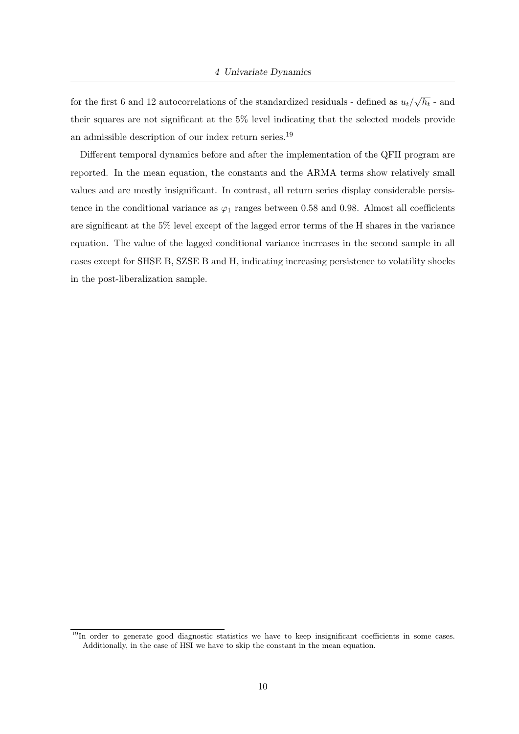for the first 6 and 12 autocorrelations of the standardized residuals - defined as  $u_t/$ √  $h_t$  - and their squares are not significant at the 5% level indicating that the selected models provide an admissible description of our index return series.  $^{19}$ 

Different temporal dynamics before and after the implementation of the QFII program are reported. In the mean equation, the constants and the ARMA terms show relatively small values and are mostly insignificant. In contrast, all return series display considerable persistence in the conditional variance as  $\varphi_1$  ranges between 0.58 and 0.98. Almost all coefficients are significant at the 5% level except of the lagged error terms of the H shares in the variance equation. The value of the lagged conditional variance increases in the second sample in all cases except for SHSE B, SZSE B and H, indicating increasing persistence to volatility shocks in the post-liberalization sample.

 $\frac{19}{19}$ In order to generate good diagnostic statistics we have to keep insignificant coefficients in some cases. Additionally, in the case of HSI we have to skip the constant in the mean equation.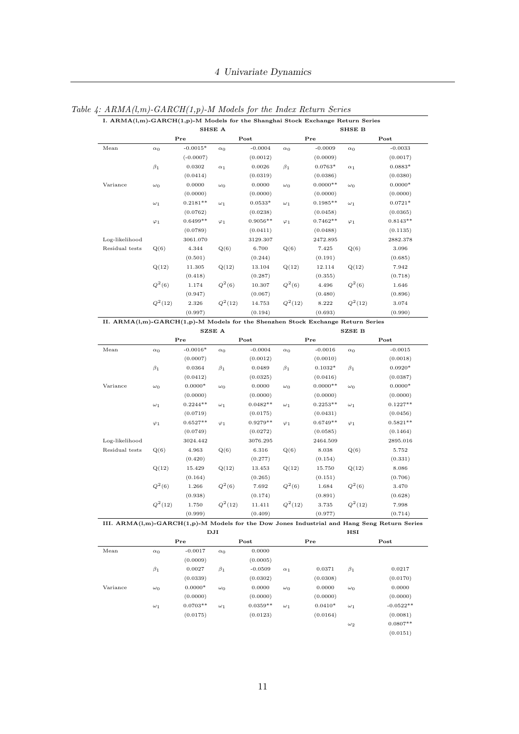|                |             | SHSE A      |             |            |                 |            | SHSE B      |                     |
|----------------|-------------|-------------|-------------|------------|-----------------|------------|-------------|---------------------|
|                |             | Pre         |             | Post       |                 | Pre        |             | Post                |
| Mean           | $\alpha_0$  | $-0.0015*$  | $\alpha_0$  | $-0.0004$  | $\alpha_0$      | $-0.0009$  | $\alpha_0$  | $-0.0033$           |
|                |             | $(-0.0007)$ |             | (0.0012)   |                 | (0.0009)   |             | (0.0017)            |
|                | $\beta_1$   | 0.0302      | $\alpha_1$  | 0.0026     | $\beta_1$       | $0.0763*$  | $\alpha_1$  | $0.0883*$           |
|                |             | (0.0414)    |             | (0.0319)   |                 | (0.0386)   |             | (0.0380)            |
| Variance       | $\omega_0$  | 0.0000      | $\omega_0$  | 0.0000     | $\omega_0$      | $0.0000**$ | $\omega_0$  | $0.0000*$           |
|                |             | (0.0000)    |             | (0.0000)   |                 | (0.0000)   |             | (0.0000)            |
|                | $\omega_1$  | $0.2181**$  | $\omega_1$  | $0.0533*$  | $\omega_1$      | $0.1985**$ | $\omega_1$  | $0.0721*$           |
|                |             | (0.0762)    |             | (0.0238)   |                 | (0.0458)   |             | (0.0365)            |
|                | $\varphi_1$ | $0.6499**$  | $\varphi_1$ | $0.9056**$ | $\varphi_1$     | $0.7462**$ | $\varphi_1$ | $0.8143**$          |
|                |             | (0.0789)    |             | (0.0411)   |                 | (0.0488)   |             | (0.1135)            |
| Log-likelihood |             | 3061.070    |             | 3129.307   |                 | 2472.895   |             | 2882.378            |
| Residual tests | Q(6)        | 4.344       | Q(6)        | 6.700      | Q(6)            | 7.425      | Q(6)        | 3.096               |
|                |             | (0.501)     |             | (0.244)    |                 | (0.191)    |             | (0.685)             |
|                | Q(12)       | 11.305      | Q(12)       | 13.104     | Q(12)           | 12.114     | Q(12)       | 7.942               |
|                |             | (0.418)     |             | (0.287)    |                 | (0.355)    |             | (0.718)             |
|                | $Q^2(6)$    | 1.174       | $Q^2(6)$    | 10.307     | ${\cal Q}^2(6)$ | 4.496      | $Q^2(6)$    | 1.646               |
|                |             | (0.947)     |             | (0.067)    |                 | (0.480)    |             | (0.896)             |
|                | $Q^2(12)$   | 2.326       | $Q^2(12)$   | 14.753     | $Q^2(12)$       | 8.222      | $Q^2(12)$   | 3.074               |
|                |             | (0.997)     |             | (0.194)    |                 | (0.693)    |             | (0.990)             |
|                |             | Pre         |             | Post       |                 | Pre        |             | Post                |
| Mean           | $\alpha_0$  | $-0.0016*$  | $\alpha_0$  | $-0.0004$  | $\alpha_0$      | $-0.0016$  | $\alpha_0$  | $-0.0015$           |
|                |             | (0.0007)    |             | (0.0012)   |                 | (0.0010)   |             | (0.0018)            |
|                | $\beta_1$   | 0.0364      | $\beta_1$   | 0.0489     | $\beta_1$       | $0.1032*$  | $\beta_1$   | $0.0920*$           |
|                |             | (0.0412)    |             | (0.0325)   |                 | (0.0416)   |             | (0.0387)            |
| Variance       | $\omega_0$  | $0.0000*$   | $\omega_0$  | 0.0000     | $\omega_0$      | $0.0000**$ | $\omega_0$  | $0.0000*$           |
|                |             | (0.0000)    |             | (0.0000)   |                 | (0.0000)   |             | (0.0000)            |
|                | $\omega_1$  | $0.2244**$  | $\omega_1$  | $0.0482**$ | $\omega_1$      | $0.2253**$ | $\omega_1$  | $0.1227**$          |
|                |             | (0.0719)    |             | (0.0175)   |                 | (0.0431)   |             | (0.0456)            |
|                | $\varphi_1$ | $0.6527**$  | $\varphi_1$ | $0.9279**$ | $\varphi_1$     | $0.6749**$ | $\varphi_1$ | $0.5821**$          |
|                |             | (0.0749)    |             | (0.0272)   |                 | (0.0585)   |             | (0.1464)            |
|                |             |             |             |            |                 |            |             |                     |
| Log-likelihood |             | 3024.442    |             | 3076.295   |                 | 2464.509   |             |                     |
| Residual tests | Q(6)        | 4.963       | Q(6)        | 6.316      | Q(6)            | 8.038      | Q(6)        | 5.752               |
|                |             | (0.420)     |             | (0.277)    |                 | (0.154)    |             | (0.331)             |
|                | Q(12)       | 15.429      | Q(12)       | 13.453     | Q(12)           | 15.750     | Q(12)       | 8.086               |
|                |             | (0.164)     |             | (0.265)    |                 | (0.151)    |             | (0.706)             |
|                | $Q^2(6)$    | 1.266       | $Q^2(6)$    | 7.692      | $Q^2(6)$        | 1.684      | $Q^2(6)$    | 3.470               |
|                |             | (0.938)     |             | (0.174)    |                 | (0.891)    |             | 2895.016<br>(0.628) |
|                | $Q^2(12)$   | 1.750       | $Q^2(12)$   | 11.411     | $Q^2(12)$       | 3.735      | $Q^2(12)$   | 7.998               |

Table 4:  $ARMA(l,m)$ - $GARCH(1,p)$ -M Models for the Index Return Series

|          |            |            | DJ 1       |            |            |           | пән        |             |
|----------|------------|------------|------------|------------|------------|-----------|------------|-------------|
|          |            | Pre        |            | Post       |            | Pre       |            | Post        |
| Mean     | $\alpha_0$ | $-0.0017$  | $\alpha_0$ | 0.0000     |            |           |            |             |
|          |            | (0.0009)   |            | (0.0005)   |            |           |            |             |
|          | $\beta_1$  | 0.0027     | $\beta_1$  | $-0.0509$  | $\alpha_1$ | 0.0371    | $\beta_1$  | 0.0217      |
|          |            | (0.0339)   |            | (0.0302)   |            | (0.0308)  |            | (0.0170)    |
| Variance | $\omega_0$ | $0.0000*$  | $\omega_0$ | 0.0000     | $\omega_0$ | 0.0000    | $\omega_0$ | 0.0000      |
|          |            | (0.0000)   |            | (0.0000)   |            | (0.0000)  |            | (0.0000)    |
|          | $\omega_1$ | $0.0703**$ | $\omega_1$ | $0.0359**$ | $\omega_1$ | $0.0410*$ | $\omega_1$ | $-0.0522**$ |
|          |            | (0.0175)   |            | (0.0123)   |            | (0.0164)  |            | (0.0081)    |
|          |            |            |            |            |            |           | $\omega_2$ | $0.0807**$  |
|          |            |            |            |            |            |           |            | (0.0151)    |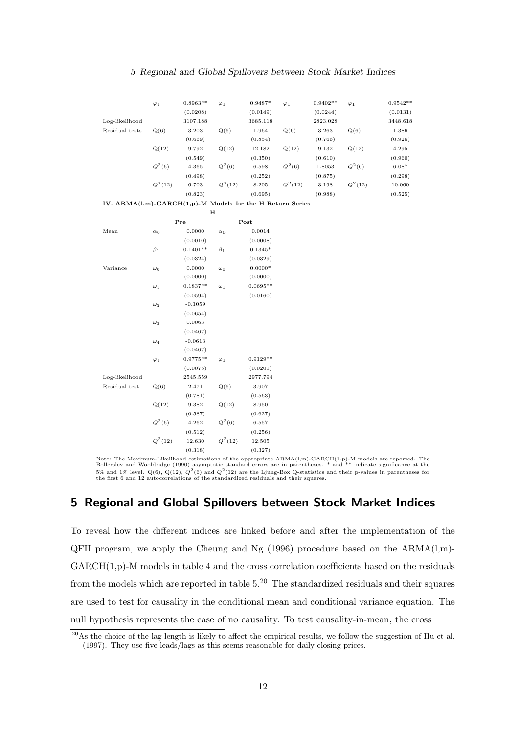|                | $\varphi_1$ | $0.8963**$ | $\varphi_1$ | $0.9487*$ | $\varphi_1$ | $0.9402**$ | $\varphi_1$ | $0.9542**$ |
|----------------|-------------|------------|-------------|-----------|-------------|------------|-------------|------------|
|                |             | (0.0208)   |             | (0.0149)  |             | (0.0244)   |             | (0.0131)   |
| Log-likelihood |             | 3107.188   |             | 3685.118  |             | 2823.028   |             | 3448.618   |
| Residual tests | Q(6)        | 3.203      | Q(6)        | 1.964     | Q(6)        | 3.263      | Q(6)        | 1.386      |
|                |             | (0.669)    |             | (0.854)   |             | (0.766)    |             | (0.926)    |
|                | Q(12)       | 9.792      | Q(12)       | 12.182    | Q(12)       | 9.132      | Q(12)       | 4.295      |
|                |             | (0.549)    |             | (0.350)   |             | (0.610)    |             | (0.960)    |
|                | $Q^2(6)$    | 4.365      | $Q^2(6)$    | 6.598     | $Q^2(6)$    | 1.8053     | $Q^2(6)$    | 6.087      |
|                |             | (0.498)    |             | (0.252)   |             | (0.875)    |             | (0.298)    |
|                | $Q^2(12)$   | 6.703      | $Q^2(12)$   | 8.205     | $Q^2(12)$   | 3.198      | $Q^2(12)$   | 10.060     |
|                |             | (0.823)    |             | (0.695)   |             | (0.988)    |             | (0.525)    |

IV. ARMA(l,m)-GARCH(1,p)-M Models for the H Return Series  $\pm$ 

|                |             |            | п           |            |
|----------------|-------------|------------|-------------|------------|
|                |             | Pre        |             | Post       |
| Mean           | $\alpha_0$  | 0.0000     | $\alpha_0$  | 0.0014     |
|                |             | (0.0010)   |             | (0.0008)   |
|                | $\beta_1$   | $0.1401**$ | $\beta_1$   | $0.1345*$  |
|                |             | (0.0324)   |             | (0.0329)   |
| Variance       | $\omega_0$  | 0.0000     | $\omega_0$  | $0.0000*$  |
|                |             | (0.0000)   |             | (0.0000)   |
|                | $\omega_1$  | $0.1837**$ | $\omega_1$  | $0.0695**$ |
|                |             | (0.0594)   |             | (0.0160)   |
|                | $\omega_2$  | $-0.1059$  |             |            |
|                |             | (0.0654)   |             |            |
|                | $\omega_3$  | 0.0063     |             |            |
|                |             | (0.0467)   |             |            |
|                | $\omega_4$  | $-0.0613$  |             |            |
|                |             | (0.0467)   |             |            |
|                | $\varphi_1$ | $0.9775**$ | $\varphi_1$ | $0.9129**$ |
|                |             | (0.0075)   |             | (0.0201)   |
| Log-likelihood |             | 2545.559   |             | 2977.794   |
| Residual test  | Q(6)        | 2.471      | Q(6)        | 3.907      |
|                |             | (0.781)    |             | (0.563)    |
|                | Q(12)       | 9.382      | Q(12)       | 8.950      |
|                |             | (0.587)    |             | (0.627)    |
|                | $Q^2(6)$    | 4.262      | $Q^2(6)$    | 6.557      |
|                |             | (0.512)    |             | (0.256)    |
|                | $Q^2(12)$   | 12.630     | $Q^2(12)$   | 12.505     |
|                |             | (0.318)    |             | (0.327)    |

Note: The Maximum-Likelihood estimations of the appropriate ARMA(l,m)-GARCH(1,p)-M models are reported. The Bollerslev and Wooldridge (1990) asymptotic standard errors are in parentheses. \* and \*\* indicate significance at

### 5 Regional and Global Spillovers between Stock Market Indices

To reveal how the different indices are linked before and after the implementation of the QFII program, we apply the Cheung and Ng  $(1996)$  procedure based on the ARMA $(l,m)$ -GARCH(1,p)-M models in table 4 and the cross correlation coefficients based on the residuals from the models which are reported in table  $5<sup>20</sup>$ . The standardized residuals and their squares are used to test for causality in the conditional mean and conditional variance equation. The null hypothesis represents the case of no causality. To test causality-in-mean, the cross

 $\frac{20}{4}$  As the choice of the lag length is likely to affect the empirical results, we follow the suggestion of Hu et al. (1997). They use five leads/lags as this seems reasonable for daily closing prices.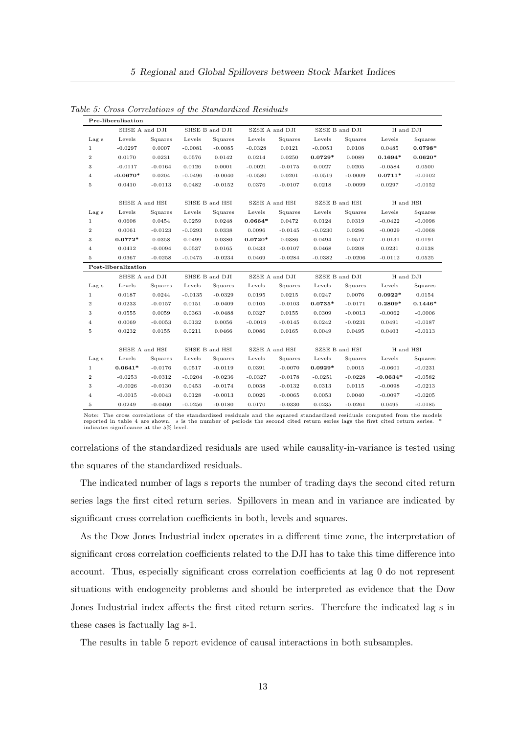|                  | SHSE A and DJI      |           |           | SHSE B and DJI | SZSE A and DJI |           | SZSE B and DJI |           |            | H and DJI |
|------------------|---------------------|-----------|-----------|----------------|----------------|-----------|----------------|-----------|------------|-----------|
| Lag s            | Levels              | Squares   | Levels    | Squares        | Levels         | Squares   | Levels         | Squares   | Levels     | Squares   |
| $\mathbf{1}$     | $-0.0297$           | 0.0007    | $-0.0081$ | $-0.0085$      | $-0.0328$      | 0.0121    | $-0.0053$      | 0.0108    | 0.0485     | $0.0798*$ |
| $\,2$            | 0.0170              | 0.0231    | 0.0576    | 0.0142         | 0.0214         | 0.0250    | $0.0729*$      | 0.0089    | $0.1694*$  | $0.0620*$ |
| 3                | $-0.0117$           | $-0.0164$ | 0.0126    | 0.0001         | $-0.0021$      | $-0.0175$ | 0.0027         | 0.0205    | $-0.0584$  | 0.0500    |
| 4                | $-0.0670*$          | 0.0204    | $-0.0496$ | $-0.0040$      | $-0.0580$      | 0.0201    | $-0.0519$      | $-0.0009$ | $0.0711*$  | $-0.0102$ |
| $\rm 5$          | 0.0410              | $-0.0113$ | 0.0482    | $-0.0152$      | 0.0376         | $-0.0107$ | 0.0218         | $-0.0099$ | 0.0297     | $-0.0152$ |
|                  | SHSE A and HSI      |           |           | SHSE B and HSI | SZSE A and HSI |           | SZSE B and HSI |           |            | H and HSI |
| Lag s            | Levels              | Squares   | Levels    | Squares        | Levels         | Squares   | Levels         | Squares   | Levels     | Squares   |
| $\mathbf{1}$     | 0.0608              | 0.0454    | 0.0259    | 0.0248         | $0.0664*$      | 0.0472    | 0.0124         | 0.0319    | $-0.0422$  | $-0.0098$ |
| $\,2$            | 0.0061              | $-0.0123$ | $-0.0293$ | 0.0338         | 0.0096         | $-0.0145$ | $-0.0230$      | 0.0296    | $-0.0029$  | $-0.0068$ |
| 3                | $0.0772*$           | 0.0358    | 0.0499    | 0.0380         | $0.0720*$      | 0.0386    | 0.0494         | 0.0517    | $-0.0131$  | 0.0191    |
| $\overline{4}$   | 0.0412              | $-0.0094$ | 0.0537    | 0.0165         | 0.0433         | $-0.0107$ | 0.0468         | 0.0208    | 0.0231     | 0.0138    |
| 5                | 0.0367              | $-0.0258$ | $-0.0475$ | $-0.0234$      | 0.0469         | $-0.0284$ | $-0.0382$      | $-0.0206$ | $-0.0112$  | 0.0525    |
|                  | Post-liberalization |           |           |                |                |           |                |           |            |           |
|                  | SHSE A and DJI      |           |           | SHSE B and DJI | SZSE A and DJI |           | SZSE B and DJI |           |            | H and DJI |
| Lag s            | Levels              | Squares   | Levels    | Squares        | Levels         | Squares   | Levels         | Squares   | Levels     | Squares   |
| 1                | 0.0187              | 0.0244    | $-0.0135$ | $-0.0329$      | 0.0195         | 0.0215    | 0.0247         | 0.0076    | $0.0922*$  | 0.0154    |
| $\boldsymbol{2}$ | 0.0233              | $-0.0157$ | 0.0151    | $-0.0409$      | 0.0105         | $-0.0103$ | $0.0735*$      | $-0.0171$ | $0.2809*$  | $0.1446*$ |
| 3                | 0.0555              | 0.0059    | 0.0363    | $-0.0488$      | 0.0327         | 0.0155    | 0.0309         | $-0.0013$ | $-0.0062$  | $-0.0006$ |
| 4                | 0.0069              | $-0.0053$ | 0.0132    | 0.0056         | $-0.0019$      | $-0.0145$ | 0.0242         | $-0.0231$ | 0.0491     | $-0.0187$ |
| $\rm 5$          | 0.0232              | 0.0155    | 0.0211    | 0.0466         | 0.0086         | 0.0165    | 0.0049         | 0.0495    | 0.0403     | $-0.0113$ |
|                  | SHSE A and HSI      |           |           | SHSE B and HSI | SZSE A and HSI |           | SZSE B and HSI |           |            | H and HSI |
| Lag s            | Levels              | Squares   | Levels    | Squares        | Levels         | Squares   | Levels         | Squares   | Levels     | Squares   |
| $\mathbf{1}$     | $0.0641*$           | $-0.0176$ | 0.0517    | $-0.0119$      | 0.0391         | $-0.0070$ | $0.0929*$      | 0.0015    | $-0.0601$  | $-0.0231$ |
| $\boldsymbol{2}$ | $-0.0253$           | $-0.0312$ | $-0.0204$ | $-0.0236$      | $-0.0327$      | $-0.0178$ | $-0.0251$      | $-0.0228$ | $-0.0634*$ | $-0.0582$ |
| 3                | $-0.0026$           | $-0.0130$ | 0.0453    | $-0.0174$      | 0.0038         | $-0.0132$ | 0.0313         | 0.0115    | $-0.0098$  | $-0.0213$ |
| $\overline{4}$   | $-0.0015$           | $-0.0043$ | 0.0128    | $-0.0013$      | 0.0026         | $-0.0065$ | 0.0053         | 0.0040    | $-0.0097$  | $-0.0205$ |
| 5                | 0.0249              | $-0.0460$ | $-0.0256$ | $-0.0180$      | 0.0170         | $-0.0330$ | 0.0235         | $-0.0261$ | 0.0495     | $-0.0185$ |

Table 5: Cross Correlations of the Standardized Residuals

Note: The cross correlations of the standardized residuals and the squared standardized residuals computed from the models<br>reported in table 4 are shown. s is the number of periods the second cited return series lags the f

correlations of the standardized residuals are used while causality-in-variance is tested using the squares of the standardized residuals.

The indicated number of lags s reports the number of trading days the second cited return series lags the first cited return series. Spillovers in mean and in variance are indicated by significant cross correlation coefficients in both, levels and squares.

As the Dow Jones Industrial index operates in a different time zone, the interpretation of significant cross correlation coefficients related to the DJI has to take this time difference into account. Thus, especially significant cross correlation coefficients at lag 0 do not represent situations with endogeneity problems and should be interpreted as evidence that the Dow Jones Industrial index affects the first cited return series. Therefore the indicated lag s in these cases is factually lag s-1.

The results in table 5 report evidence of causal interactions in both subsamples.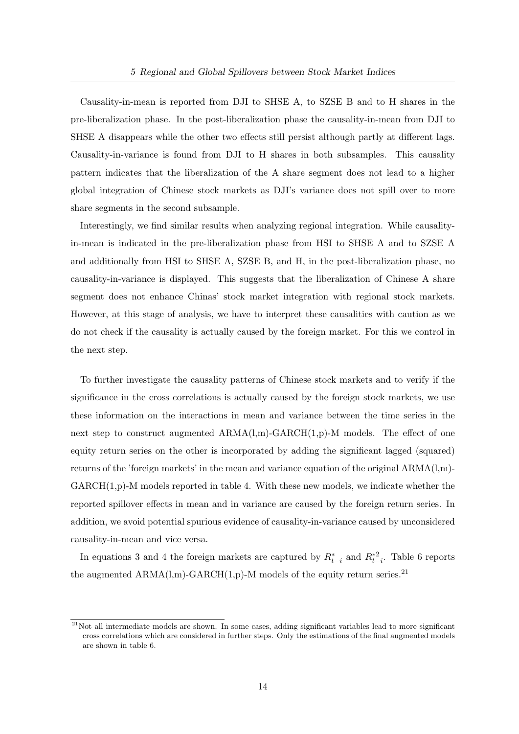Causality-in-mean is reported from DJI to SHSE A, to SZSE B and to H shares in the pre-liberalization phase. In the post-liberalization phase the causality-in-mean from DJI to SHSE A disappears while the other two effects still persist although partly at different lags. Causality-in-variance is found from DJI to H shares in both subsamples. This causality pattern indicates that the liberalization of the A share segment does not lead to a higher global integration of Chinese stock markets as DJI's variance does not spill over to more share segments in the second subsample.

Interestingly, we find similar results when analyzing regional integration. While causalityin-mean is indicated in the pre-liberalization phase from HSI to SHSE A and to SZSE A and additionally from HSI to SHSE A, SZSE B, and H, in the post-liberalization phase, no causality-in-variance is displayed. This suggests that the liberalization of Chinese A share segment does not enhance Chinas' stock market integration with regional stock markets. However, at this stage of analysis, we have to interpret these causalities with caution as we do not check if the causality is actually caused by the foreign market. For this we control in the next step.

To further investigate the causality patterns of Chinese stock markets and to verify if the significance in the cross correlations is actually caused by the foreign stock markets, we use these information on the interactions in mean and variance between the time series in the next step to construct augmented ARMA(l,m)-GARCH(1,p)-M models. The effect of one equity return series on the other is incorporated by adding the significant lagged (squared) returns of the 'foreign markets' in the mean and variance equation of the original  $ARMA(1,m)$ - $GARCH(1,p)-M$  models reported in table 4. With these new models, we indicate whether the reported spillover effects in mean and in variance are caused by the foreign return series. In addition, we avoid potential spurious evidence of causality-in-variance caused by unconsidered causality-in-mean and vice versa.

In equations 3 and 4 the foreign markets are captured by  $R_{t-i}^*$  and  $R_{t-i}^{*2}$ . Table 6 reports the augmented  $ARMA(l,m)-GARCH(1,p)-M$  models of the equity return series.<sup>21</sup>

 $^{21}$ Not all intermediate models are shown. In some cases, adding significant variables lead to more significant cross correlations which are considered in further steps. Only the estimations of the final augmented models are shown in table 6.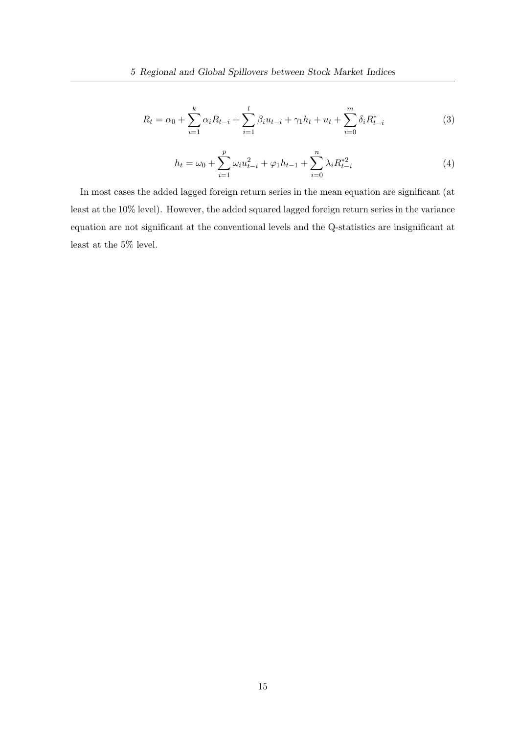$$
R_t = \alpha_0 + \sum_{i=1}^k \alpha_i R_{t-i} + \sum_{i=1}^l \beta_i u_{t-i} + \gamma_1 h_t + u_t + \sum_{i=0}^m \delta_i R_{t-i}^*
$$
(3)

$$
h_t = \omega_0 + \sum_{i=1}^p \omega_i u_{t-i}^2 + \varphi_1 h_{t-1} + \sum_{i=0}^n \lambda_i R_{t-i}^{*2}
$$
 (4)

In most cases the added lagged foreign return series in the mean equation are significant (at least at the 10% level). However, the added squared lagged foreign return series in the variance equation are not significant at the conventional levels and the Q-statistics are insignificant at least at the 5% level.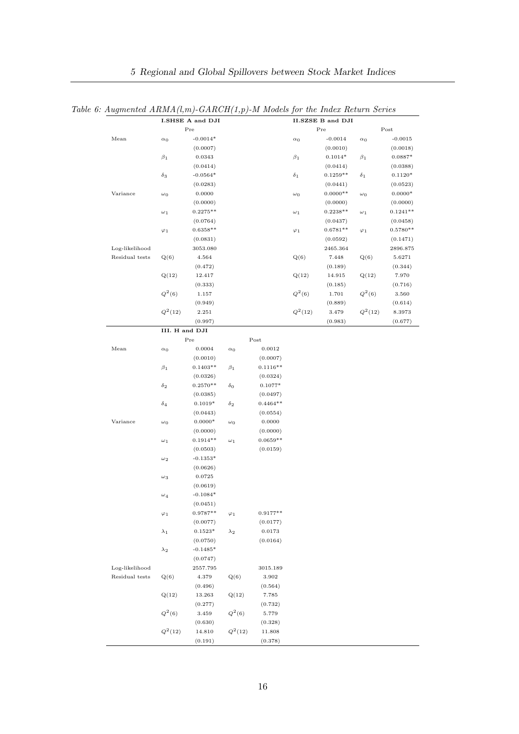|                |                | I.SHSE A and DJI  |             |                   |             | <b>II.SZSE B and DJI</b> |             |            |
|----------------|----------------|-------------------|-------------|-------------------|-------------|--------------------------|-------------|------------|
|                |                | Pre               |             |                   |             | Pre                      |             | Post       |
| Mean           | $\alpha_0$     | $-0.0014*$        |             |                   | $\alpha_0$  | $-0.0014$                | $\alpha_0$  | $-0.0015$  |
|                |                | (0.0007)          |             |                   |             | (0.0010)                 |             | (0.0018)   |
|                | $\beta_1$      | 0.0343            |             |                   | $\beta_1$   | $0.1014*$                | $\beta_1$   | $0.0887*$  |
|                |                | (0.0414)          |             |                   |             | (0.0414)                 |             | (0.0388)   |
|                | $\delta_3$     | $-0.0564*$        |             |                   | $\delta_1$  | $0.1259**$               | $\delta_1$  | $0.1120*$  |
|                |                | (0.0283)          |             |                   |             | (0.0441)                 |             | (0.0523)   |
| Variance       | $\omega_0$     | 0.0000            |             |                   | $\omega_0$  | $0.0000**$               | $\omega_0$  | $0.0000*$  |
|                |                | (0.0000)          |             |                   |             | (0.0000)                 |             | (0.0000)   |
|                | $\omega_1$     | $0.2275**$        |             |                   | $\omega_1$  | $0.2238**$               | $\omega_1$  | $0.1241**$ |
|                |                | (0.0764)          |             |                   |             | (0.0437)                 |             | (0.0458)   |
|                | $\varphi_1$    | $0.6358**$        |             |                   | $\varphi_1$ | $0.6781**$               | $\varphi_1$ | $0.5780**$ |
|                |                | (0.0831)          |             |                   |             | (0.0592)                 |             | (0.1471)   |
| Log-likelihood |                | 3053.080          |             |                   |             | 2465.364                 |             | 2896.875   |
| Residual tests | Q(6)           | 4.564             |             |                   | Q(6)        | 7.448                    | Q(6)        | 5.6271     |
|                |                | (0.472)           |             |                   |             | (0.189)                  |             | (0.344)    |
|                | Q(12)          | 12.417            |             |                   | Q(12)       | 14.915                   | Q(12)       | 7.970      |
|                |                | (0.333)           |             |                   |             | (0.185)                  |             | (0.716)    |
|                | $Q^2(6)$       | 1.157             |             |                   | $Q^2(6)$    | 1.701                    | $Q^2(6)$    | 3.560      |
|                |                | (0.949)           |             |                   |             | (0.889)                  |             | (0.614)    |
|                | $Q^2(12)$      | 2.251             |             |                   | $Q^2(12)$   | 3.479                    | $Q^2(12)$   | 8.3973     |
|                |                | (0.997)           |             |                   |             | (0.983)                  |             | (0.677)    |
|                | III. H and DJI |                   |             |                   |             |                          |             |            |
|                |                | Pre               |             | Post              |             |                          |             |            |
| Mean           | $\alpha_0$     | 0.0004            | $\alpha_0$  | $\,0.0012\,$      |             |                          |             |            |
|                |                | (0.0010)          |             | (0.0007)          |             |                          |             |            |
|                | $\beta_1$      | $0.1403**$        | $\beta_1$   | $0.1116**$        |             |                          |             |            |
|                |                | (0.0326)          |             | (0.0324)          |             |                          |             |            |
|                | $\delta_2$     | $0.2570**$        | $\delta_0$  | $0.1077*$         |             |                          |             |            |
|                |                | (0.0385)          |             | (0.0497)          |             |                          |             |            |
|                | $\delta_4$     | $0.1019*$         | $\delta_2$  | $0.4464**$        |             |                          |             |            |
|                |                | (0.0443)          |             | (0.0554)          |             |                          |             |            |
| Variance       | $\omega_0$     | $0.0000*$         | $\omega_0$  | 0.0000            |             |                          |             |            |
|                |                | (0.0000)          |             | (0.0000)          |             |                          |             |            |
|                | $\omega_1$     | $0.1914**$        | $\omega_1$  | $0.0659**$        |             |                          |             |            |
|                |                | (0.0503)          |             | (0.0159)          |             |                          |             |            |
|                | $\omega_2$     | $-0.1353*$        |             |                   |             |                          |             |            |
|                |                | (0.0626)          |             |                   |             |                          |             |            |
|                | $\omega_3$     | 0.0725            |             |                   |             |                          |             |            |
|                |                | (0.0619)          |             |                   |             |                          |             |            |
|                | $\omega_4$     | $-0.1084*$        |             |                   |             |                          |             |            |
|                |                | (0.0451)          |             |                   |             |                          |             |            |
|                | $\varphi_1$    | $0.9787**$        | $\varphi_1$ | $0.9177**$        |             |                          |             |            |
|                |                | (0.0077)          |             | (0.0177)          |             |                          |             |            |
|                | $\lambda_1$    | $0.1523*$         | $\lambda_2$ | 0.0173            |             |                          |             |            |
|                |                | (0.0750)          |             | (0.0164)          |             |                          |             |            |
|                | $\lambda_2$    | $-0.1485*$        |             |                   |             |                          |             |            |
|                |                | (0.0747)          |             |                   |             |                          |             |            |
| Log-likelihood |                | 2557.795          |             | 3015.189          |             |                          |             |            |
| Residual tests | Q(6)           | 4.379             | Q(6)        | 3.902             |             |                          |             |            |
|                |                | (0.496)           |             | (0.564)           |             |                          |             |            |
|                | Q(12)          | 13.263            | Q(12)       | 7.785             |             |                          |             |            |
|                |                | (0.277)           |             | (0.732)           |             |                          |             |            |
|                |                |                   |             |                   |             |                          |             |            |
|                | $Q^2(6)$       | 3.459             | $Q^2(6)$    | 5.779             |             |                          |             |            |
|                | $Q^2(12)$      | (0.630)<br>14.810 | $Q^2(12)$   | (0.328)<br>11.808 |             |                          |             |            |

Table 6: Augmented  $ARMA(l,m)$ - $GARCH(1,p)$ -M Models for the Index Return Series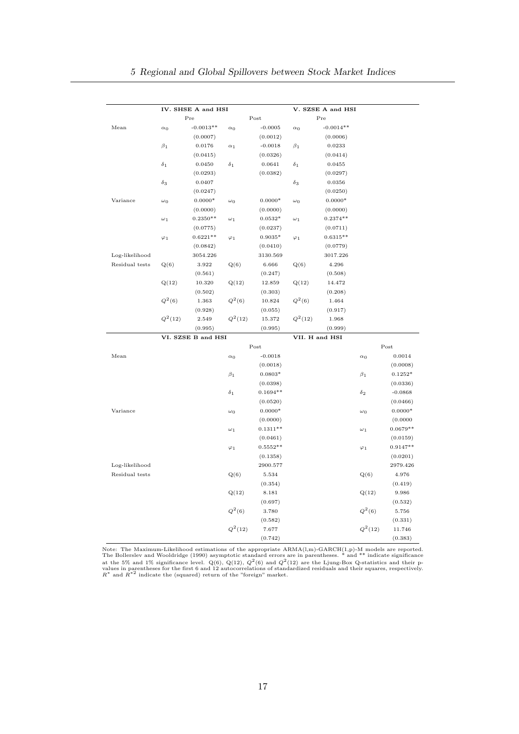|                |             | IV. SHSE A and HSI |                 |            |             | V. SZSE A and HSI |             |            |
|----------------|-------------|--------------------|-----------------|------------|-------------|-------------------|-------------|------------|
|                |             | Pre                |                 | Post       |             | Pre               |             |            |
| Mean           | $\alpha_0$  | $-0.0013**$        | $\alpha_0$      | $-0.0005$  | $\alpha_0$  | $-0.0014**$       |             |            |
|                |             | (0.0007)           |                 | (0.0012)   |             | (0.0006)          |             |            |
|                | $\beta_1$   | 0.0176             | $\alpha_1$      | $-0.0018$  | $\beta_1$   | 0.0233            |             |            |
|                |             | (0.0415)           |                 | (0.0326)   |             | (0.0414)          |             |            |
|                | $\delta_1$  | 0.0450             | $\delta_1$      | 0.0641     | $\delta_1$  | 0.0455            |             |            |
|                |             | (0.0293)           |                 | (0.0382)   |             | (0.0297)          |             |            |
|                | $\delta_3$  | 0.0407             |                 |            | $\delta_3$  | 0.0356            |             |            |
|                |             | (0.0247)           |                 |            |             | (0.0250)          |             |            |
| Variance       | $\omega_0$  | $0.0000*$          | $\omega_0$      | $0.0000*$  | $\omega_0$  | $0.0000*$         |             |            |
|                |             | (0.0000)           |                 | (0.0000)   |             | (0.0000)          |             |            |
|                | $\omega_1$  | $0.2350**$         | $\omega_1$      | $0.0532*$  | $\omega_1$  | $0.2374**$        |             |            |
|                |             | (0.0775)           |                 | (0.0237)   |             | (0.0711)          |             |            |
|                | $\varphi_1$ | $0.6221**$         | $\varphi_1$     | $0.9035*$  | $\varphi_1$ | $0.6315**$        |             |            |
|                |             | (0.0842)           |                 | (0.0410)   |             | (0.0779)          |             |            |
| Log-likelihood |             | 3054.226           |                 | 3130.569   |             | 3017.226          |             |            |
| Residual tests | Q(6)        | 3.922              | Q(6)            | 6.666      | Q(6)        | 4.296             |             |            |
|                |             | (0.561)            |                 | (0.247)    |             | (0.508)           |             |            |
|                | Q(12)       | 10.320             | Q(12)           | 12.859     | Q(12)       | 14.472            |             |            |
|                |             | (0.502)            |                 | (0.303)    |             | (0.208)           |             |            |
|                | $Q^2(6)$    | 1.363              | ${\cal Q}^2(6)$ | 10.824     | $Q^2(6)$    | 1.464             |             |            |
|                |             | (0.928)            |                 | (0.055)    |             | (0.917)           |             |            |
|                | $Q^2(12)$   | 2.549              | $Q^2(12)$       | 15.372     | $Q^2(12)$   | 1.968             |             |            |
|                |             | (0.995)            |                 | (0.995)    |             | (0.999)           |             |            |
|                |             | VI. SZSE B and HSI |                 |            |             | VII. H and HSI    |             |            |
|                |             |                    |                 | Post       |             |                   |             | Post       |
| Mean           |             |                    | $\alpha_0$      | $-0.0018$  |             |                   | $\alpha_0$  | 0.0014     |
|                |             |                    |                 | (0.0018)   |             |                   |             | (0.0008)   |
|                |             |                    | $\beta_1$       | $0.0803*$  |             |                   | $\beta_1$   | $0.1252*$  |
|                |             |                    |                 | (0.0398)   |             |                   |             | (0.0336)   |
|                |             |                    | $\delta_1$      | $0.1694**$ |             |                   | $\delta_2$  | $-0.0868$  |
|                |             |                    |                 | (0.0520)   |             |                   |             | (0.0466)   |
| Variance       |             |                    | $\omega_0$      | $0.0000*$  |             |                   | $\omega_0$  | $0.0000*$  |
|                |             |                    |                 | (0.0000)   |             |                   |             | (0.0000)   |
|                |             |                    | $\omega_1$      | $0.1311**$ |             |                   | $\omega_1$  | $0.0679**$ |
|                |             |                    |                 | (0.0461)   |             |                   |             | (0.0159)   |
|                |             |                    | $\varphi_1$     | $0.5552**$ |             |                   | $\varphi_1$ | $0.9147**$ |
|                |             |                    |                 | (0.1358)   |             |                   |             | (0.0201)   |
| Log-likelihood |             |                    |                 | 2900.577   |             |                   |             | 2979.426   |
| Residual tests |             |                    | Q(6)            | 5.534      |             |                   | Q(6)        | 4.976      |
|                |             |                    |                 | (0.354)    |             |                   |             | (0.419)    |
|                |             |                    | Q(12)           | 8.181      |             |                   | Q(12)       | 9.986      |
|                |             |                    |                 | (0.697)    |             |                   |             | (0.532)    |
|                |             |                    | $Q^2(6)$        | 3.780      |             |                   | $Q^2(6)$    | 5.756      |
|                |             |                    |                 | (0.582)    |             |                   |             | (0.331)    |
|                |             |                    | $Q^2(12)$       | 7.677      |             |                   | $Q^2(12)$   | 11.746     |
|                |             |                    |                 | (0.742)    |             |                   |             | (0.383)    |

Note: The Maximum-Likelihood estimations of the appropriate ARMA(l,m)-GARCH(1,p)-M models are reported.<br>The Bollerslev and Wooldridge (1990) asymptotic standard errors are in parentheses. \* and \*\* indicate significance<br>at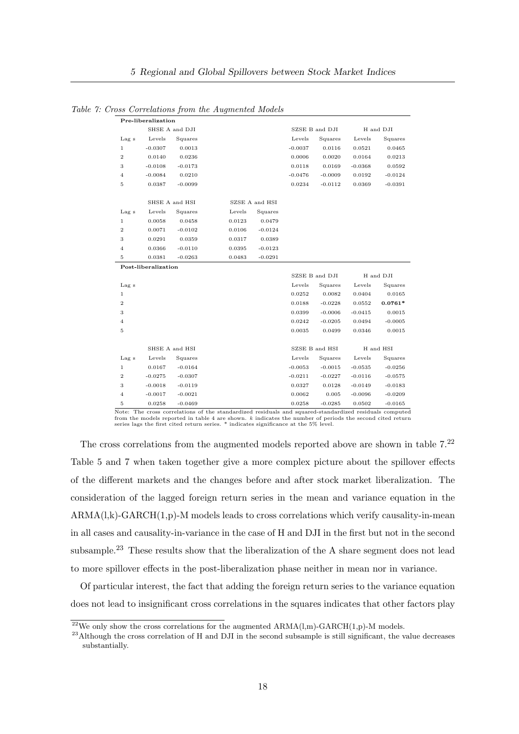Table 7: Cross Correlations from the Augmented Models

| SHSE A and DJI<br>SZSE B and DJI<br>H and DJI<br>Levels<br>Squares<br>Levels<br>Levels<br>Squares<br>Lag s<br>Squares<br>$-0.0307$<br>$-0.0037$<br>0.0521<br>$\mathbf{1}$<br>0.0013<br>0.0116<br>0.0465<br>$\overline{2}$<br>0.0140<br>0.0236<br>0.0006<br>0.0020<br>0.0164<br>0.0213<br>3<br>$-0.0108$<br>$-0.0173$<br>0.0118<br>0.0169<br>$-0.0368$<br>0.0592<br>$-0.0084$<br>$-0.0476$<br>$-0.0009$<br>$\overline{4}$<br>0.0210<br>0.0192<br>$-0.0124$<br>5<br>0.0387<br>$-0.0099$<br>0.0234<br>$-0.0112$<br>0.0369<br>$-0.0391$<br>SHSE A and HSI<br>SZSE A and HSI<br>Lag s<br>Levels<br>Squares<br>Levels<br>Squares<br>0.0058<br>0.0458<br>0.0479<br>$\mathbf{1}$<br>0.0123<br>$\overline{2}$<br>0.0071<br>$-0.0102$<br>0.0106<br>$-0.0124$<br>3<br>0.0291<br>0.0359<br>0.0317<br>0.0389<br>0.0366<br>$-0.0110$<br>$-0.0123$<br>$\overline{4}$<br>0.0395<br>0.0381<br>$-0.0263$<br>$-0.0291$<br>0.0483<br>5<br>Post-liberalization<br>SZSE B and DJI<br>H and DJI<br>Lag s<br>Levels<br>Squares<br>Levels<br>Squares<br>0.0082<br>0.0404<br>$\mathbf{1}$<br>0.0252<br>0.0165<br>$\overline{2}$<br>0.0188<br>$-0.0228$<br>0.0552<br>$0.0761*$<br>3<br>$-0.0006$<br>$-0.0415$<br>0.0399<br>0.0015<br>0.0242<br>0.0494<br>$\overline{4}$<br>$-0.0205$<br>$-0.0005$<br>5<br>0.0035<br>0.0499<br>0.0346<br>0.0015<br>SZSE B and HSI<br>SHSE A and HSI<br>H and HSI<br>Levels<br>Levels<br>Levels<br>Lag s<br>Squares<br>Squares<br>Squares<br>$-0.0053$<br>$\mathbf{1}$<br>0.0167<br>$-0.0164$<br>$-0.0015$<br>$-0.0535$<br>$-0.0256$<br>$\overline{2}$<br>$-0.0275$<br>$-0.0307$<br>$-0.0211$<br>$-0.0227$<br>$-0.0116$<br>$-0.0575$<br>3<br>$-0.0018$<br>$-0.0119$<br>0.0327<br>0.0128<br>$-0.0149$<br>$-0.0183$<br>$-0.0017$<br>$-0.0021$<br>0.0062<br>$\overline{4}$<br>0.005<br>$-0.0096$<br>$-0.0209$<br>0.0258<br>$-0.0469$<br>0.0258<br>$-0.0285$<br>0.0502<br>$-0.0165$<br>5<br>$\sim$ $\sim$ $\sim$ $\sim$ $\sim$ $\sim$<br>$N^T = 4$<br>m.<br>املا وبعدك لموسود الموس<br>J.<br>$1 - 11 - 1$<br>. | Pre-liberalization |  |  |  |  |
|---------------------------------------------------------------------------------------------------------------------------------------------------------------------------------------------------------------------------------------------------------------------------------------------------------------------------------------------------------------------------------------------------------------------------------------------------------------------------------------------------------------------------------------------------------------------------------------------------------------------------------------------------------------------------------------------------------------------------------------------------------------------------------------------------------------------------------------------------------------------------------------------------------------------------------------------------------------------------------------------------------------------------------------------------------------------------------------------------------------------------------------------------------------------------------------------------------------------------------------------------------------------------------------------------------------------------------------------------------------------------------------------------------------------------------------------------------------------------------------------------------------------------------------------------------------------------------------------------------------------------------------------------------------------------------------------------------------------------------------------------------------------------------------------------------------------------------------------------------------------------------------------------------------------------------------------------------------------------------------------------------------|--------------------|--|--|--|--|
|                                                                                                                                                                                                                                                                                                                                                                                                                                                                                                                                                                                                                                                                                                                                                                                                                                                                                                                                                                                                                                                                                                                                                                                                                                                                                                                                                                                                                                                                                                                                                                                                                                                                                                                                                                                                                                                                                                                                                                                                               |                    |  |  |  |  |
|                                                                                                                                                                                                                                                                                                                                                                                                                                                                                                                                                                                                                                                                                                                                                                                                                                                                                                                                                                                                                                                                                                                                                                                                                                                                                                                                                                                                                                                                                                                                                                                                                                                                                                                                                                                                                                                                                                                                                                                                               |                    |  |  |  |  |
|                                                                                                                                                                                                                                                                                                                                                                                                                                                                                                                                                                                                                                                                                                                                                                                                                                                                                                                                                                                                                                                                                                                                                                                                                                                                                                                                                                                                                                                                                                                                                                                                                                                                                                                                                                                                                                                                                                                                                                                                               |                    |  |  |  |  |
|                                                                                                                                                                                                                                                                                                                                                                                                                                                                                                                                                                                                                                                                                                                                                                                                                                                                                                                                                                                                                                                                                                                                                                                                                                                                                                                                                                                                                                                                                                                                                                                                                                                                                                                                                                                                                                                                                                                                                                                                               |                    |  |  |  |  |
|                                                                                                                                                                                                                                                                                                                                                                                                                                                                                                                                                                                                                                                                                                                                                                                                                                                                                                                                                                                                                                                                                                                                                                                                                                                                                                                                                                                                                                                                                                                                                                                                                                                                                                                                                                                                                                                                                                                                                                                                               |                    |  |  |  |  |
|                                                                                                                                                                                                                                                                                                                                                                                                                                                                                                                                                                                                                                                                                                                                                                                                                                                                                                                                                                                                                                                                                                                                                                                                                                                                                                                                                                                                                                                                                                                                                                                                                                                                                                                                                                                                                                                                                                                                                                                                               |                    |  |  |  |  |
|                                                                                                                                                                                                                                                                                                                                                                                                                                                                                                                                                                                                                                                                                                                                                                                                                                                                                                                                                                                                                                                                                                                                                                                                                                                                                                                                                                                                                                                                                                                                                                                                                                                                                                                                                                                                                                                                                                                                                                                                               |                    |  |  |  |  |
|                                                                                                                                                                                                                                                                                                                                                                                                                                                                                                                                                                                                                                                                                                                                                                                                                                                                                                                                                                                                                                                                                                                                                                                                                                                                                                                                                                                                                                                                                                                                                                                                                                                                                                                                                                                                                                                                                                                                                                                                               |                    |  |  |  |  |
|                                                                                                                                                                                                                                                                                                                                                                                                                                                                                                                                                                                                                                                                                                                                                                                                                                                                                                                                                                                                                                                                                                                                                                                                                                                                                                                                                                                                                                                                                                                                                                                                                                                                                                                                                                                                                                                                                                                                                                                                               |                    |  |  |  |  |
|                                                                                                                                                                                                                                                                                                                                                                                                                                                                                                                                                                                                                                                                                                                                                                                                                                                                                                                                                                                                                                                                                                                                                                                                                                                                                                                                                                                                                                                                                                                                                                                                                                                                                                                                                                                                                                                                                                                                                                                                               |                    |  |  |  |  |
|                                                                                                                                                                                                                                                                                                                                                                                                                                                                                                                                                                                                                                                                                                                                                                                                                                                                                                                                                                                                                                                                                                                                                                                                                                                                                                                                                                                                                                                                                                                                                                                                                                                                                                                                                                                                                                                                                                                                                                                                               |                    |  |  |  |  |
|                                                                                                                                                                                                                                                                                                                                                                                                                                                                                                                                                                                                                                                                                                                                                                                                                                                                                                                                                                                                                                                                                                                                                                                                                                                                                                                                                                                                                                                                                                                                                                                                                                                                                                                                                                                                                                                                                                                                                                                                               |                    |  |  |  |  |
|                                                                                                                                                                                                                                                                                                                                                                                                                                                                                                                                                                                                                                                                                                                                                                                                                                                                                                                                                                                                                                                                                                                                                                                                                                                                                                                                                                                                                                                                                                                                                                                                                                                                                                                                                                                                                                                                                                                                                                                                               |                    |  |  |  |  |
|                                                                                                                                                                                                                                                                                                                                                                                                                                                                                                                                                                                                                                                                                                                                                                                                                                                                                                                                                                                                                                                                                                                                                                                                                                                                                                                                                                                                                                                                                                                                                                                                                                                                                                                                                                                                                                                                                                                                                                                                               |                    |  |  |  |  |
|                                                                                                                                                                                                                                                                                                                                                                                                                                                                                                                                                                                                                                                                                                                                                                                                                                                                                                                                                                                                                                                                                                                                                                                                                                                                                                                                                                                                                                                                                                                                                                                                                                                                                                                                                                                                                                                                                                                                                                                                               |                    |  |  |  |  |
|                                                                                                                                                                                                                                                                                                                                                                                                                                                                                                                                                                                                                                                                                                                                                                                                                                                                                                                                                                                                                                                                                                                                                                                                                                                                                                                                                                                                                                                                                                                                                                                                                                                                                                                                                                                                                                                                                                                                                                                                               |                    |  |  |  |  |
|                                                                                                                                                                                                                                                                                                                                                                                                                                                                                                                                                                                                                                                                                                                                                                                                                                                                                                                                                                                                                                                                                                                                                                                                                                                                                                                                                                                                                                                                                                                                                                                                                                                                                                                                                                                                                                                                                                                                                                                                               |                    |  |  |  |  |
|                                                                                                                                                                                                                                                                                                                                                                                                                                                                                                                                                                                                                                                                                                                                                                                                                                                                                                                                                                                                                                                                                                                                                                                                                                                                                                                                                                                                                                                                                                                                                                                                                                                                                                                                                                                                                                                                                                                                                                                                               |                    |  |  |  |  |
|                                                                                                                                                                                                                                                                                                                                                                                                                                                                                                                                                                                                                                                                                                                                                                                                                                                                                                                                                                                                                                                                                                                                                                                                                                                                                                                                                                                                                                                                                                                                                                                                                                                                                                                                                                                                                                                                                                                                                                                                               |                    |  |  |  |  |
|                                                                                                                                                                                                                                                                                                                                                                                                                                                                                                                                                                                                                                                                                                                                                                                                                                                                                                                                                                                                                                                                                                                                                                                                                                                                                                                                                                                                                                                                                                                                                                                                                                                                                                                                                                                                                                                                                                                                                                                                               |                    |  |  |  |  |
|                                                                                                                                                                                                                                                                                                                                                                                                                                                                                                                                                                                                                                                                                                                                                                                                                                                                                                                                                                                                                                                                                                                                                                                                                                                                                                                                                                                                                                                                                                                                                                                                                                                                                                                                                                                                                                                                                                                                                                                                               |                    |  |  |  |  |
|                                                                                                                                                                                                                                                                                                                                                                                                                                                                                                                                                                                                                                                                                                                                                                                                                                                                                                                                                                                                                                                                                                                                                                                                                                                                                                                                                                                                                                                                                                                                                                                                                                                                                                                                                                                                                                                                                                                                                                                                               |                    |  |  |  |  |
|                                                                                                                                                                                                                                                                                                                                                                                                                                                                                                                                                                                                                                                                                                                                                                                                                                                                                                                                                                                                                                                                                                                                                                                                                                                                                                                                                                                                                                                                                                                                                                                                                                                                                                                                                                                                                                                                                                                                                                                                               |                    |  |  |  |  |
|                                                                                                                                                                                                                                                                                                                                                                                                                                                                                                                                                                                                                                                                                                                                                                                                                                                                                                                                                                                                                                                                                                                                                                                                                                                                                                                                                                                                                                                                                                                                                                                                                                                                                                                                                                                                                                                                                                                                                                                                               |                    |  |  |  |  |
|                                                                                                                                                                                                                                                                                                                                                                                                                                                                                                                                                                                                                                                                                                                                                                                                                                                                                                                                                                                                                                                                                                                                                                                                                                                                                                                                                                                                                                                                                                                                                                                                                                                                                                                                                                                                                                                                                                                                                                                                               |                    |  |  |  |  |
|                                                                                                                                                                                                                                                                                                                                                                                                                                                                                                                                                                                                                                                                                                                                                                                                                                                                                                                                                                                                                                                                                                                                                                                                                                                                                                                                                                                                                                                                                                                                                                                                                                                                                                                                                                                                                                                                                                                                                                                                               |                    |  |  |  |  |
|                                                                                                                                                                                                                                                                                                                                                                                                                                                                                                                                                                                                                                                                                                                                                                                                                                                                                                                                                                                                                                                                                                                                                                                                                                                                                                                                                                                                                                                                                                                                                                                                                                                                                                                                                                                                                                                                                                                                                                                                               |                    |  |  |  |  |
|                                                                                                                                                                                                                                                                                                                                                                                                                                                                                                                                                                                                                                                                                                                                                                                                                                                                                                                                                                                                                                                                                                                                                                                                                                                                                                                                                                                                                                                                                                                                                                                                                                                                                                                                                                                                                                                                                                                                                                                                               |                    |  |  |  |  |
|                                                                                                                                                                                                                                                                                                                                                                                                                                                                                                                                                                                                                                                                                                                                                                                                                                                                                                                                                                                                                                                                                                                                                                                                                                                                                                                                                                                                                                                                                                                                                                                                                                                                                                                                                                                                                                                                                                                                                                                                               |                    |  |  |  |  |
|                                                                                                                                                                                                                                                                                                                                                                                                                                                                                                                                                                                                                                                                                                                                                                                                                                                                                                                                                                                                                                                                                                                                                                                                                                                                                                                                                                                                                                                                                                                                                                                                                                                                                                                                                                                                                                                                                                                                                                                                               |                    |  |  |  |  |
|                                                                                                                                                                                                                                                                                                                                                                                                                                                                                                                                                                                                                                                                                                                                                                                                                                                                                                                                                                                                                                                                                                                                                                                                                                                                                                                                                                                                                                                                                                                                                                                                                                                                                                                                                                                                                                                                                                                                                                                                               |                    |  |  |  |  |

Note: The cross correlations of the standardized residuals and squared-standardized residuals computed<br>from the models reported in table 4 are shown. *k* indicates the number of periods the second cited return<br>series lags

The cross correlations from the augmented models reported above are shown in table  $7.^{22}$ Table 5 and 7 when taken together give a more complex picture about the spillover effects of the different markets and the changes before and after stock market liberalization. The consideration of the lagged foreign return series in the mean and variance equation in the  $ARMA(l,k)-GARCH(1,p)-M$  models leads to cross correlations which verify causality-in-mean in all cases and causality-in-variance in the case of H and DJI in the first but not in the second subsample.<sup>23</sup> These results show that the liberalization of the A share segment does not lead to more spillover effects in the post-liberalization phase neither in mean nor in variance.

Of particular interest, the fact that adding the foreign return series to the variance equation does not lead to insignificant cross correlations in the squares indicates that other factors play

 $22$ We only show the cross correlations for the augmented ARMA(l,m)-GARCH(1,p)-M models.

<sup>&</sup>lt;sup>23</sup>Although the cross correlation of H and DJI in the second subsample is still significant, the value decreases substantially.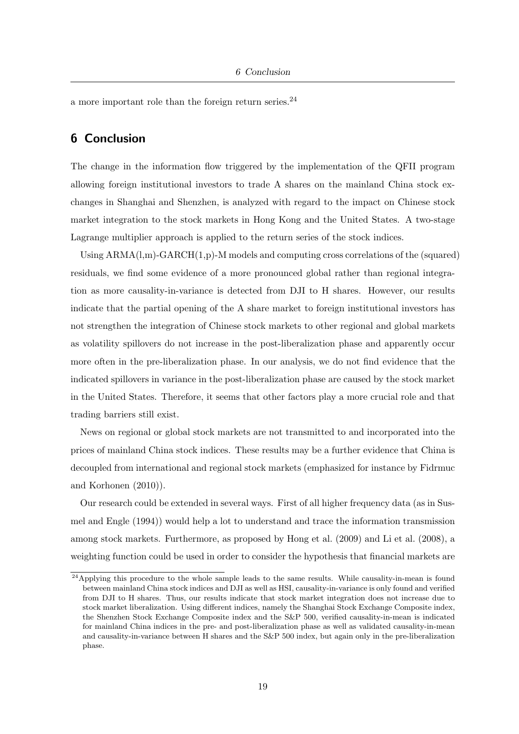a more important role than the foreign return series.  $24$ 

### 6 Conclusion

The change in the information flow triggered by the implementation of the QFII program allowing foreign institutional investors to trade A shares on the mainland China stock exchanges in Shanghai and Shenzhen, is analyzed with regard to the impact on Chinese stock market integration to the stock markets in Hong Kong and the United States. A two-stage Lagrange multiplier approach is applied to the return series of the stock indices.

Using  $ARMA(1,m)-GARCH(1,p)-M$  models and computing cross correlations of the (squared) residuals, we find some evidence of a more pronounced global rather than regional integration as more causality-in-variance is detected from DJI to H shares. However, our results indicate that the partial opening of the A share market to foreign institutional investors has not strengthen the integration of Chinese stock markets to other regional and global markets as volatility spillovers do not increase in the post-liberalization phase and apparently occur more often in the pre-liberalization phase. In our analysis, we do not find evidence that the indicated spillovers in variance in the post-liberalization phase are caused by the stock market in the United States. Therefore, it seems that other factors play a more crucial role and that trading barriers still exist.

News on regional or global stock markets are not transmitted to and incorporated into the prices of mainland China stock indices. These results may be a further evidence that China is decoupled from international and regional stock markets (emphasized for instance by Fidrmuc and Korhonen (2010)).

Our research could be extended in several ways. First of all higher frequency data (as in Susmel and Engle (1994)) would help a lot to understand and trace the information transmission among stock markets. Furthermore, as proposed by Hong et al. (2009) and Li et al. (2008), a weighting function could be used in order to consider the hypothesis that financial markets are

<sup>&</sup>lt;sup>24</sup>Applying this procedure to the whole sample leads to the same results. While causality-in-mean is found between mainland China stock indices and DJI as well as HSI, causality-in-variance is only found and verified from DJI to H shares. Thus, our results indicate that stock market integration does not increase due to stock market liberalization. Using different indices, namely the Shanghai Stock Exchange Composite index, the Shenzhen Stock Exchange Composite index and the S&P 500, verified causality-in-mean is indicated for mainland China indices in the pre- and post-liberalization phase as well as validated causality-in-mean and causality-in-variance between H shares and the S&P 500 index, but again only in the pre-liberalization phase.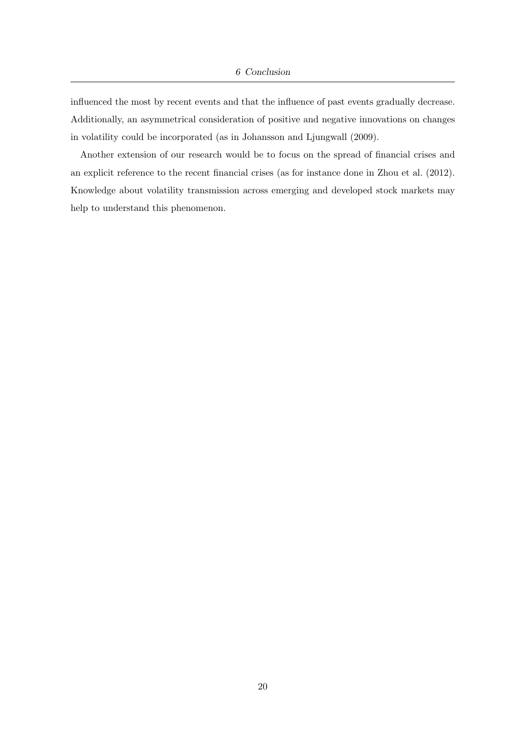influenced the most by recent events and that the influence of past events gradually decrease. Additionally, an asymmetrical consideration of positive and negative innovations on changes in volatility could be incorporated (as in Johansson and Ljungwall (2009).

Another extension of our research would be to focus on the spread of financial crises and an explicit reference to the recent financial crises (as for instance done in Zhou et al. (2012). Knowledge about volatility transmission across emerging and developed stock markets may help to understand this phenomenon.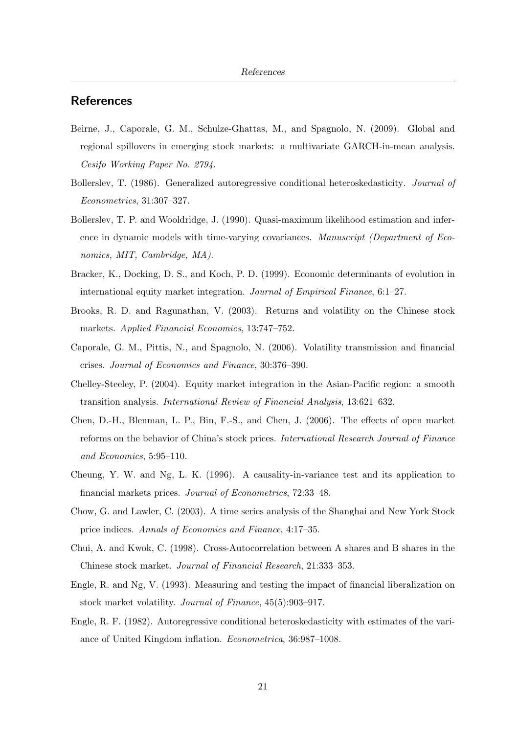#### **References**

- Beirne, J., Caporale, G. M., Schulze-Ghattas, M., and Spagnolo, N. (2009). Global and regional spillovers in emerging stock markets: a multivariate GARCH-in-mean analysis. Cesifo Working Paper No. 2794.
- Bollerslev, T. (1986). Generalized autoregressive conditional heteroskedasticity. Journal of Econometrics, 31:307–327.
- Bollerslev, T. P. and Wooldridge, J. (1990). Quasi-maximum likelihood estimation and inference in dynamic models with time-varying covariances. Manuscript (Department of Economics, MIT, Cambridge, MA).
- Bracker, K., Docking, D. S., and Koch, P. D. (1999). Economic determinants of evolution in international equity market integration. Journal of Empirical Finance, 6:1–27.
- Brooks, R. D. and Ragunathan, V. (2003). Returns and volatility on the Chinese stock markets. Applied Financial Economics, 13:747–752.
- Caporale, G. M., Pittis, N., and Spagnolo, N. (2006). Volatility transmission and financial crises. Journal of Economics and Finance, 30:376–390.
- Chelley-Steeley, P. (2004). Equity market integration in the Asian-Pacific region: a smooth transition analysis. International Review of Financial Analysis, 13:621–632.
- Chen, D.-H., Blenman, L. P., Bin, F.-S., and Chen, J. (2006). The effects of open market reforms on the behavior of China's stock prices. International Research Journal of Finance and Economics, 5:95–110.
- Cheung, Y. W. and Ng, L. K. (1996). A causality-in-variance test and its application to financial markets prices. Journal of Econometrics, 72:33–48.
- Chow, G. and Lawler, C. (2003). A time series analysis of the Shanghai and New York Stock price indices. Annals of Economics and Finance, 4:17–35.
- Chui, A. and Kwok, C. (1998). Cross-Autocorrelation between A shares and B shares in the Chinese stock market. Journal of Financial Research, 21:333–353.
- Engle, R. and Ng, V. (1993). Measuring and testing the impact of financial liberalization on stock market volatility. Journal of Finance, 45(5):903–917.
- Engle, R. F. (1982). Autoregressive conditional heteroskedasticity with estimates of the variance of United Kingdom inflation. Econometrica, 36:987–1008.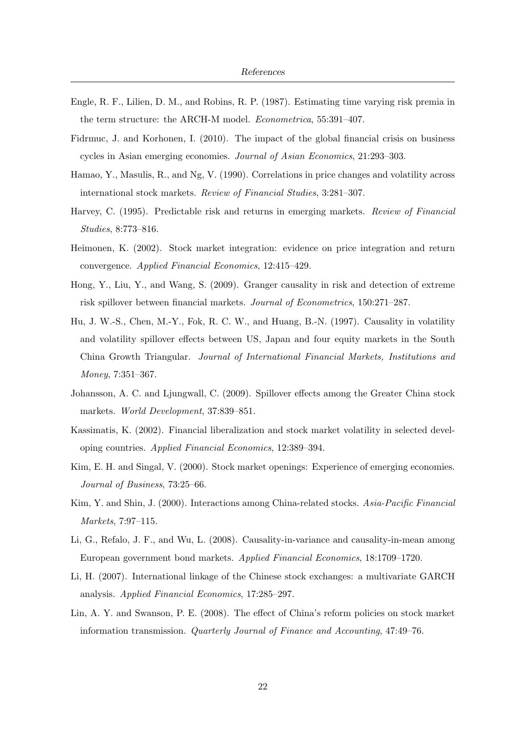- Engle, R. F., Lilien, D. M., and Robins, R. P. (1987). Estimating time varying risk premia in the term structure: the ARCH-M model. Econometrica, 55:391–407.
- Fidrmuc, J. and Korhonen, I. (2010). The impact of the global financial crisis on business cycles in Asian emerging economies. Journal of Asian Economics, 21:293–303.
- Hamao, Y., Masulis, R., and Ng, V. (1990). Correlations in price changes and volatility across international stock markets. Review of Financial Studies, 3:281–307.
- Harvey, C. (1995). Predictable risk and returns in emerging markets. Review of Financial Studies, 8:773–816.
- Heimonen, K. (2002). Stock market integration: evidence on price integration and return convergence. Applied Financial Economics, 12:415–429.
- Hong, Y., Liu, Y., and Wang, S. (2009). Granger causality in risk and detection of extreme risk spillover between financial markets. Journal of Econometrics, 150:271–287.
- Hu, J. W.-S., Chen, M.-Y., Fok, R. C. W., and Huang, B.-N. (1997). Causality in volatility and volatility spillover effects between US, Japan and four equity markets in the South China Growth Triangular. Journal of International Financial Markets, Institutions and Money, 7:351–367.
- Johansson, A. C. and Ljungwall, C. (2009). Spillover effects among the Greater China stock markets. World Development, 37:839–851.
- Kassimatis, K. (2002). Financial liberalization and stock market volatility in selected developing countries. Applied Financial Economics, 12:389–394.
- Kim, E. H. and Singal, V. (2000). Stock market openings: Experience of emerging economies. Journal of Business, 73:25–66.
- Kim, Y. and Shin, J. (2000). Interactions among China-related stocks. Asia-Pacific Financial Markets, 7:97–115.
- Li, G., Refalo, J. F., and Wu, L. (2008). Causality-in-variance and causality-in-mean among European government bond markets. Applied Financial Economics, 18:1709–1720.
- Li, H. (2007). International linkage of the Chinese stock exchanges: a multivariate GARCH analysis. Applied Financial Economics, 17:285–297.
- Lin, A. Y. and Swanson, P. E. (2008). The effect of China's reform policies on stock market information transmission. Quarterly Journal of Finance and Accounting, 47:49–76.